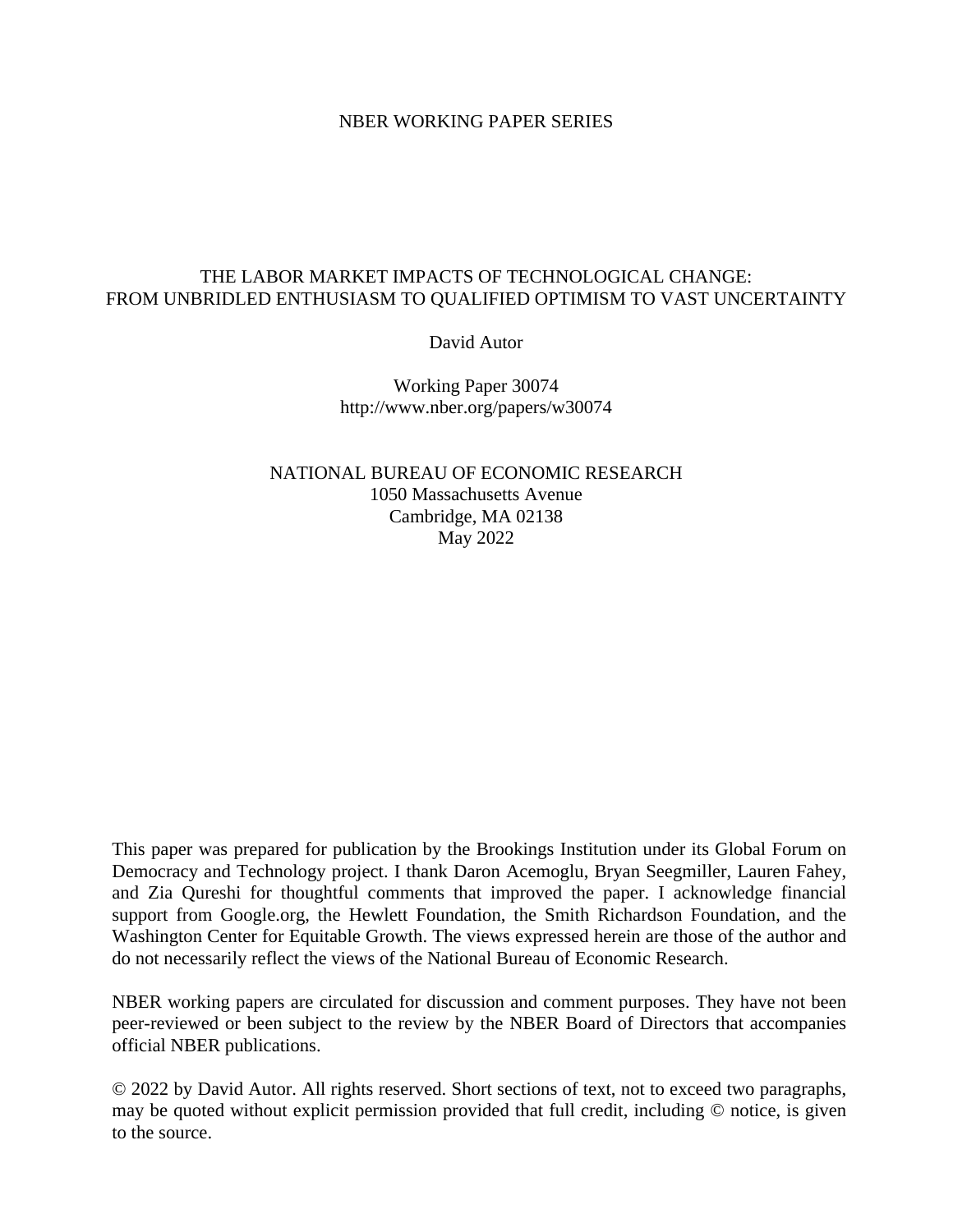## NBER WORKING PAPER SERIES

## THE LABOR MARKET IMPACTS OF TECHNOLOGICAL CHANGE: FROM UNBRIDLED ENTHUSIASM TO QUALIFIED OPTIMISM TO VAST UNCERTAINTY

David Autor

Working Paper 30074 http://www.nber.org/papers/w30074

NATIONAL BUREAU OF ECONOMIC RESEARCH 1050 Massachusetts Avenue Cambridge, MA 02138 May 2022

This paper was prepared for publication by the Brookings Institution under its Global Forum on Democracy and Technology project. I thank Daron Acemoglu, Bryan Seegmiller, Lauren Fahey, and Zia Qureshi for thoughtful comments that improved the paper. I acknowledge financial support from Google.org, the Hewlett Foundation, the Smith Richardson Foundation, and the Washington Center for Equitable Growth. The views expressed herein are those of the author and do not necessarily reflect the views of the National Bureau of Economic Research.

NBER working papers are circulated for discussion and comment purposes. They have not been peer-reviewed or been subject to the review by the NBER Board of Directors that accompanies official NBER publications.

© 2022 by David Autor. All rights reserved. Short sections of text, not to exceed two paragraphs, may be quoted without explicit permission provided that full credit, including © notice, is given to the source.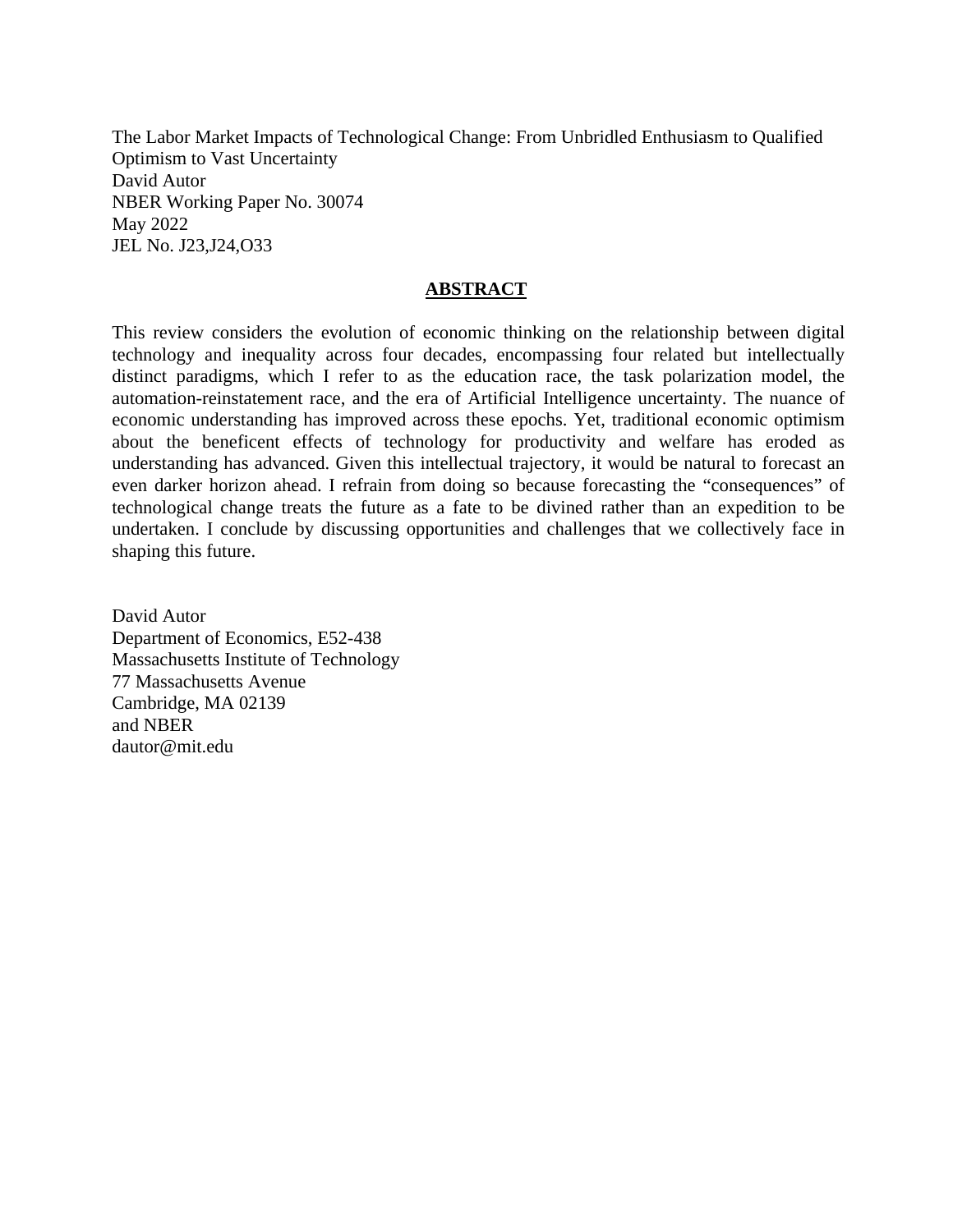The Labor Market Impacts of Technological Change: From Unbridled Enthusiasm to Qualified Optimism to Vast Uncertainty David Autor NBER Working Paper No. 30074 May 2022 JEL No. J23,J24,O33

## **ABSTRACT**

This review considers the evolution of economic thinking on the relationship between digital technology and inequality across four decades, encompassing four related but intellectually distinct paradigms, which I refer to as the education race, the task polarization model, the automation-reinstatement race, and the era of Artificial Intelligence uncertainty. The nuance of economic understanding has improved across these epochs. Yet, traditional economic optimism about the beneficent effects of technology for productivity and welfare has eroded as understanding has advanced. Given this intellectual trajectory, it would be natural to forecast an even darker horizon ahead. I refrain from doing so because forecasting the "consequences" of technological change treats the future as a fate to be divined rather than an expedition to be undertaken. I conclude by discussing opportunities and challenges that we collectively face in shaping this future.

David Autor Department of Economics, E52-438 Massachusetts Institute of Technology 77 Massachusetts Avenue Cambridge, MA 02139 and NBER dautor@mit.edu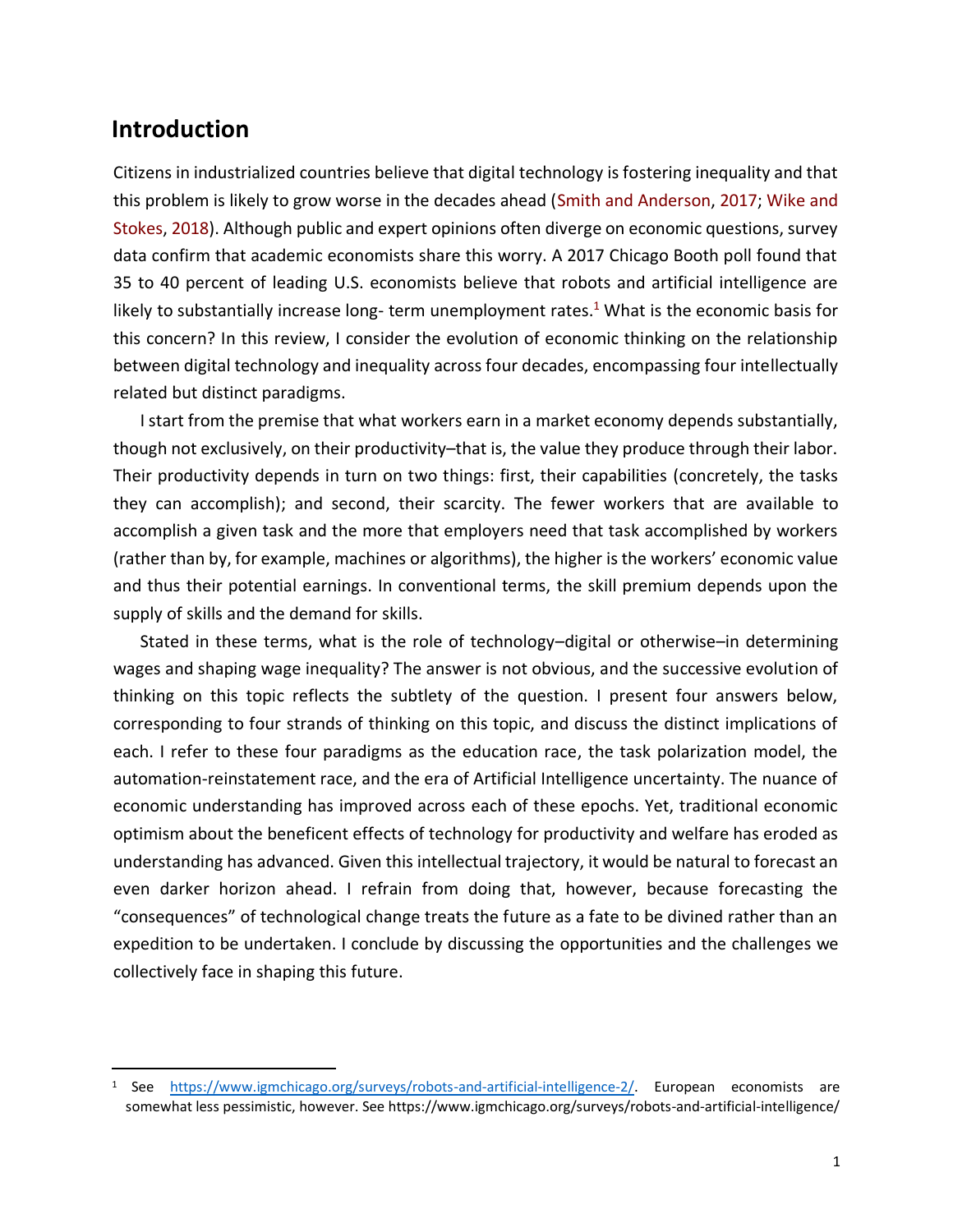# **Introduction**

Citizens in industrialized countries believe that digital technology is fostering inequality and that this problem is likely to grow worse in the decades ahead (Smith and Anderson, 2017; Wike and Stokes, 2018). Although public and expert opinions often diverge on economic questions, survey data confirm that academic economists share this worry. A 2017 Chicago Booth poll found that 35 to 40 percent of leading U.S. economists believe that robots and artificial intelligence are likely to substantially increase long-term unemployment rates.<sup>1</sup> What is the economic basis for this concern? In this review, I consider the evolution of economic thinking on the relationship between digital technology and inequality across four decades, encompassing four intellectually related but distinct paradigms.

I start from the premise that what workers earn in a market economy depends substantially, though not exclusively, on their productivity–that is, the value they produce through their labor. Their productivity depends in turn on two things: first, their capabilities (concretely, the tasks they can accomplish); and second, their scarcity. The fewer workers that are available to accomplish a given task and the more that employers need that task accomplished by workers (rather than by, for example, machines or algorithms), the higher is the workers' economic value and thus their potential earnings. In conventional terms, the skill premium depends upon the supply of skills and the demand for skills.

Stated in these terms, what is the role of technology–digital or otherwise–in determining wages and shaping wage inequality? The answer is not obvious, and the successive evolution of thinking on this topic reflects the subtlety of the question. I present four answers below, corresponding to four strands of thinking on this topic, and discuss the distinct implications of each. I refer to these four paradigms as the education race, the task polarization model, the automation-reinstatement race, and the era of Artificial Intelligence uncertainty. The nuance of economic understanding has improved across each of these epochs. Yet, traditional economic optimism about the beneficent effects of technology for productivity and welfare has eroded as understanding has advanced. Given this intellectual trajectory, it would be natural to forecast an even darker horizon ahead. I refrain from doing that, however, because forecasting the "consequences" of technological change treats the future as a fate to be divined rather than an expedition to be undertaken. I conclude by discussing the opportunities and the challenges we collectively face in shaping this future.

<sup>1</sup> See [https://www.igmchicago.org/surveys/robots-and-artificial-intelligence-2/.](https://www.igmchicago.org/surveys/robots-and-artificial-intelligence-2/) European economists are somewhat less pessimistic, however. See https://www.igmchicago.org/surveys/robots-and-artificial-intelligence/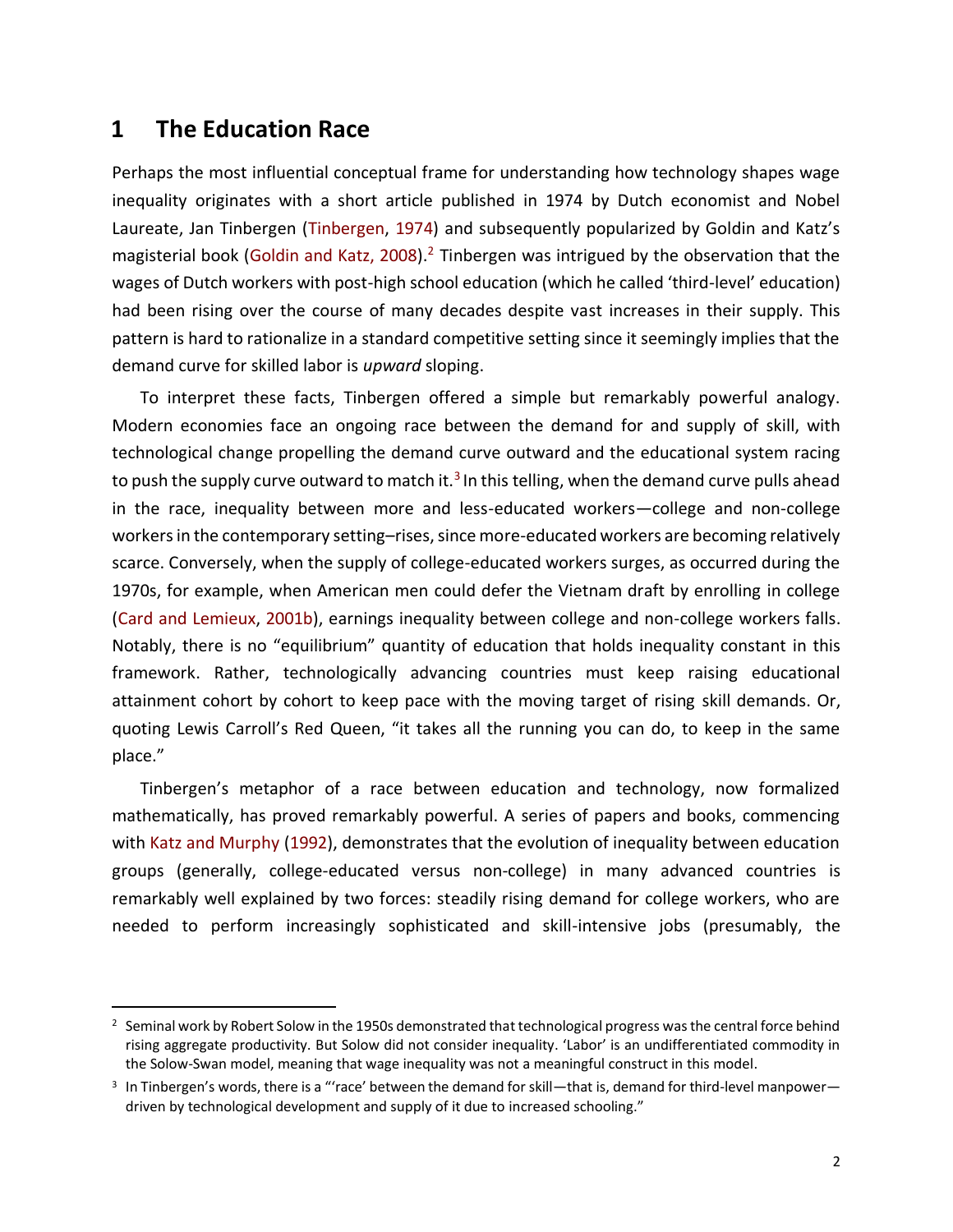# **1 The Education Race**

Perhaps the most influential conceptual frame for understanding how technology shapes wage inequality originates with a short article published in 1974 by Dutch economist and Nobel Laureate, Jan Tinbergen (Tinbergen, 1974) and subsequently popularized by Goldin and Katz's magisterial book (Goldin and Katz, 2008).<sup>2</sup> Tinbergen was intrigued by the observation that the wages of Dutch workers with post-high school education (which he called 'third-level' education) had been rising over the course of many decades despite vast increases in their supply. This pattern is hard to rationalize in a standard competitive setting since it seemingly implies that the demand curve for skilled labor is *upward* sloping.

To interpret these facts, Tinbergen offered a simple but remarkably powerful analogy. Modern economies face an ongoing race between the demand for and supply of skill, with technological change propelling the demand curve outward and the educational system racing to push the supply curve outward to match it.<sup>3</sup> In this telling, when the demand curve pulls ahead in the race, inequality between more and less-educated workers—college and non-college workers in the contemporary setting–rises, since more-educated workers are becoming relatively scarce. Conversely, when the supply of college-educated workers surges, as occurred during the 1970s, for example, when American men could defer the Vietnam draft by enrolling in college (Card and Lemieux, 2001b), earnings inequality between college and non-college workers falls. Notably, there is no "equilibrium" quantity of education that holds inequality constant in this framework. Rather, technologically advancing countries must keep raising educational attainment cohort by cohort to keep pace with the moving target of rising skill demands. Or, quoting Lewis Carroll's Red Queen, "it takes all the running you can do, to keep in the same place."

Tinbergen's metaphor of a race between education and technology, now formalized mathematically, has proved remarkably powerful. A series of papers and books, commencing with Katz and Murphy (1992), demonstrates that the evolution of inequality between education groups (generally, college-educated versus non-college) in many advanced countries is remarkably well explained by two forces: steadily rising demand for college workers, who are needed to perform increasingly sophisticated and skill-intensive jobs (presumably, the

 $2$  Seminal work by Robert Solow in the 1950s demonstrated that technological progress was the central force behind rising aggregate productivity. But Solow did not consider inequality. 'Labor' is an undifferentiated commodity in the Solow-Swan model, meaning that wage inequality was not a meaningful construct in this model.

 $3$  In Tinbergen's words, there is a "'race' between the demand for skill—that is, demand for third-level manpower driven by technological development and supply of it due to increased schooling."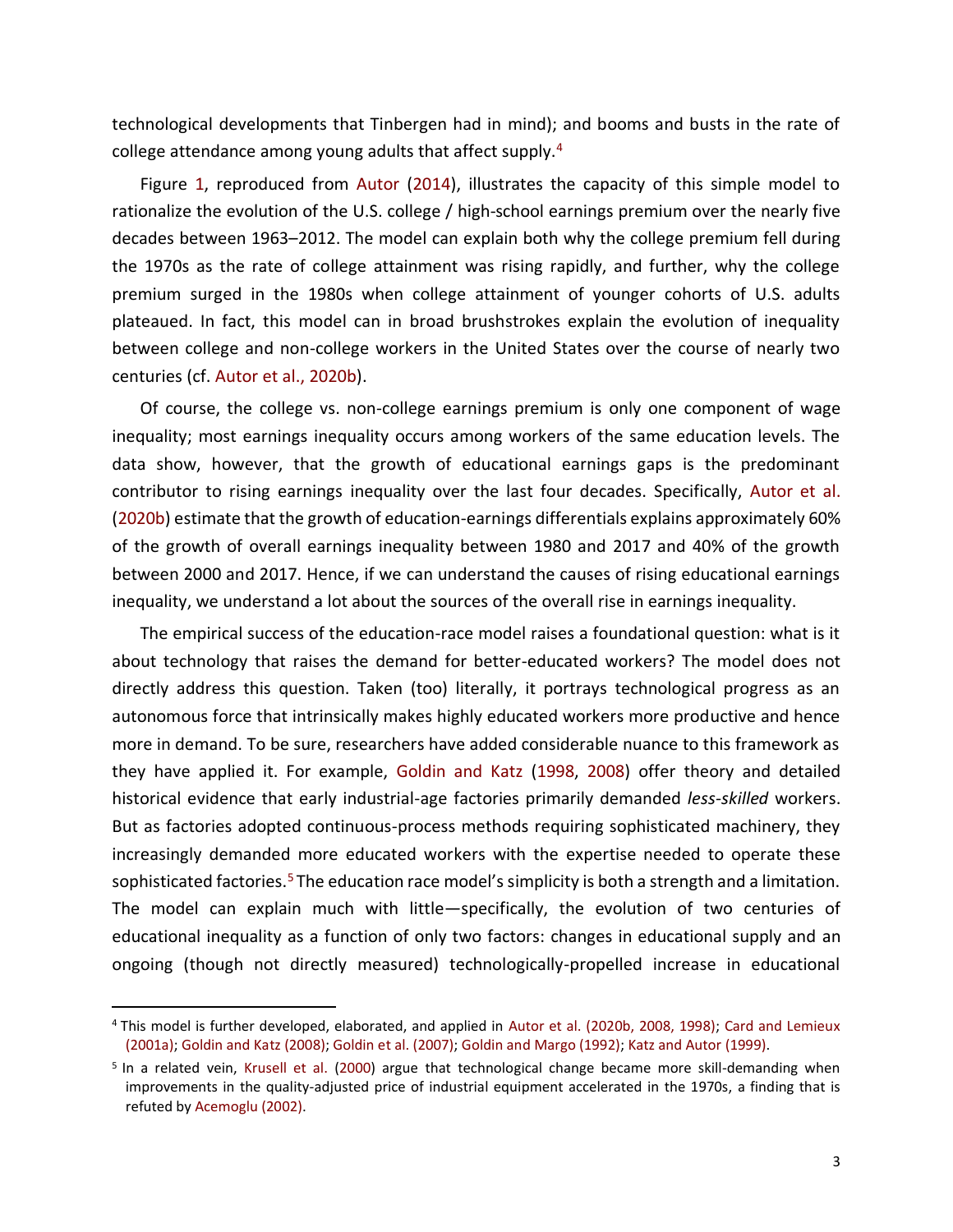technological developments that Tinbergen had in mind); and booms and busts in the rate of college attendance among young adults that affect supply.<sup>4</sup>

Figure 1, reproduced from Autor (2014), illustrates the capacity of this simple model to rationalize the evolution of the U.S. college / high-school earnings premium over the nearly five decades between 1963–2012. The model can explain both why the college premium fell during the 1970s as the rate of college attainment was rising rapidly, and further, why the college premium surged in the 1980s when college attainment of younger cohorts of U.S. adults plateaued. In fact, this model can in broad brushstrokes explain the evolution of inequality between college and non-college workers in the United States over the course of nearly two centuries (cf. Autor et al., 2020b).

Of course, the college vs. non-college earnings premium is only one component of wage inequality; most earnings inequality occurs among workers of the same education levels. The data show, however, that the growth of educational earnings gaps is the predominant contributor to rising earnings inequality over the last four decades. Specifically, Autor et al. (2020b) estimate that the growth of education-earnings differentials explains approximately 60% of the growth of overall earnings inequality between 1980 and 2017 and 40% of the growth between 2000 and 2017. Hence, if we can understand the causes of rising educational earnings inequality, we understand a lot about the sources of the overall rise in earnings inequality.

The empirical success of the education-race model raises a foundational question: what is it about technology that raises the demand for better-educated workers? The model does not directly address this question. Taken (too) literally, it portrays technological progress as an autonomous force that intrinsically makes highly educated workers more productive and hence more in demand. To be sure, researchers have added considerable nuance to this framework as they have applied it. For example, Goldin and Katz (1998, 2008) offer theory and detailed historical evidence that early industrial-age factories primarily demanded *less-skilled* workers. But as factories adopted continuous-process methods requiring sophisticated machinery, they increasingly demanded more educated workers with the expertise needed to operate these sophisticated factories.<sup>5</sup> The education race model's simplicity is both a strength and a limitation. The model can explain much with little—specifically, the evolution of two centuries of educational inequality as a function of only two factors: changes in educational supply and an ongoing (though not directly measured) technologically-propelled increase in educational

<sup>4</sup> This model is further developed, elaborated, and applied in Autor et al. (2020b, 2008, 1998); Card and Lemieux (2001a); Goldin and Katz (2008); Goldin et al. (2007); Goldin and Margo (1992); Katz and Autor (1999).

<sup>&</sup>lt;sup>5</sup> In a related vein, Krusell et al. (2000) argue that technological change became more skill-demanding when improvements in the quality-adjusted price of industrial equipment accelerated in the 1970s, a finding that is refuted by Acemoglu (2002).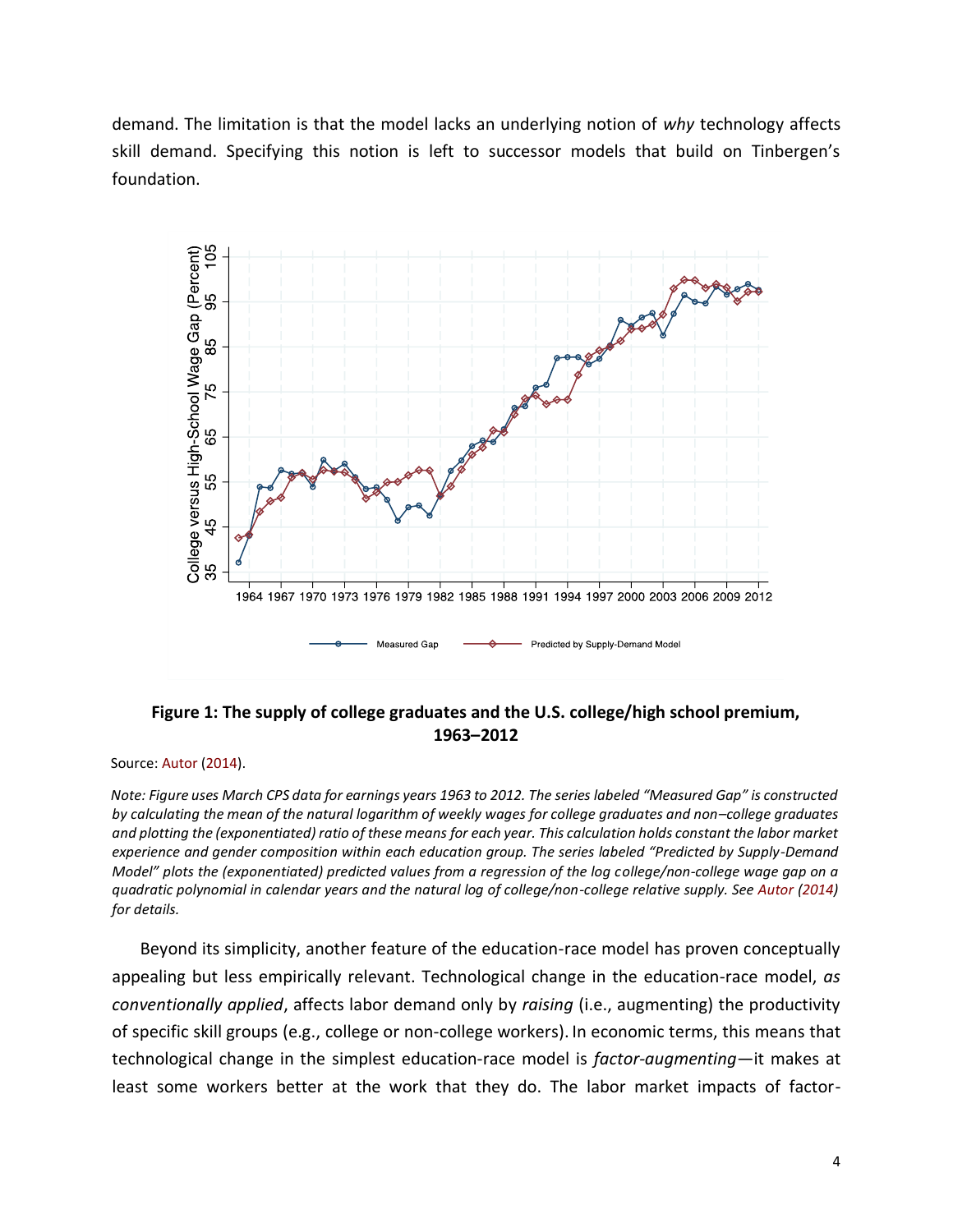demand. The limitation is that the model lacks an underlying notion of *why* technology affects skill demand. Specifying this notion is left to successor models that build on Tinbergen's foundation.



## **Figure 1: The supply of college graduates and the U.S. college/high school premium, 1963–2012**

Source: Autor (2014).

*Note: Figure uses March CPS data for earnings years 1963 to 2012. The series labeled "Measured Gap" is constructed by calculating the mean of the natural logarithm of weekly wages for college graduates and non–college graduates and plotting the (exponentiated) ratio of these means for each year. This calculation holds constant the labor market experience and gender composition within each education group. The series labeled "Predicted by Supply-Demand Model" plots the (exponentiated) predicted values from a regression of the log college/non-college wage gap on a quadratic polynomial in calendar years and the natural log of college/non-college relative supply. See Autor (2014) for details.*

Beyond its simplicity, another feature of the education-race model has proven conceptually appealing but less empirically relevant. Technological change in the education-race model, *as conventionally applied*, affects labor demand only by *raising* (i.e., augmenting) the productivity of specific skill groups (e.g., college or non-college workers). In economic terms, this means that technological change in the simplest education-race model is *factor-augmenting*—it makes at least some workers better at the work that they do. The labor market impacts of factor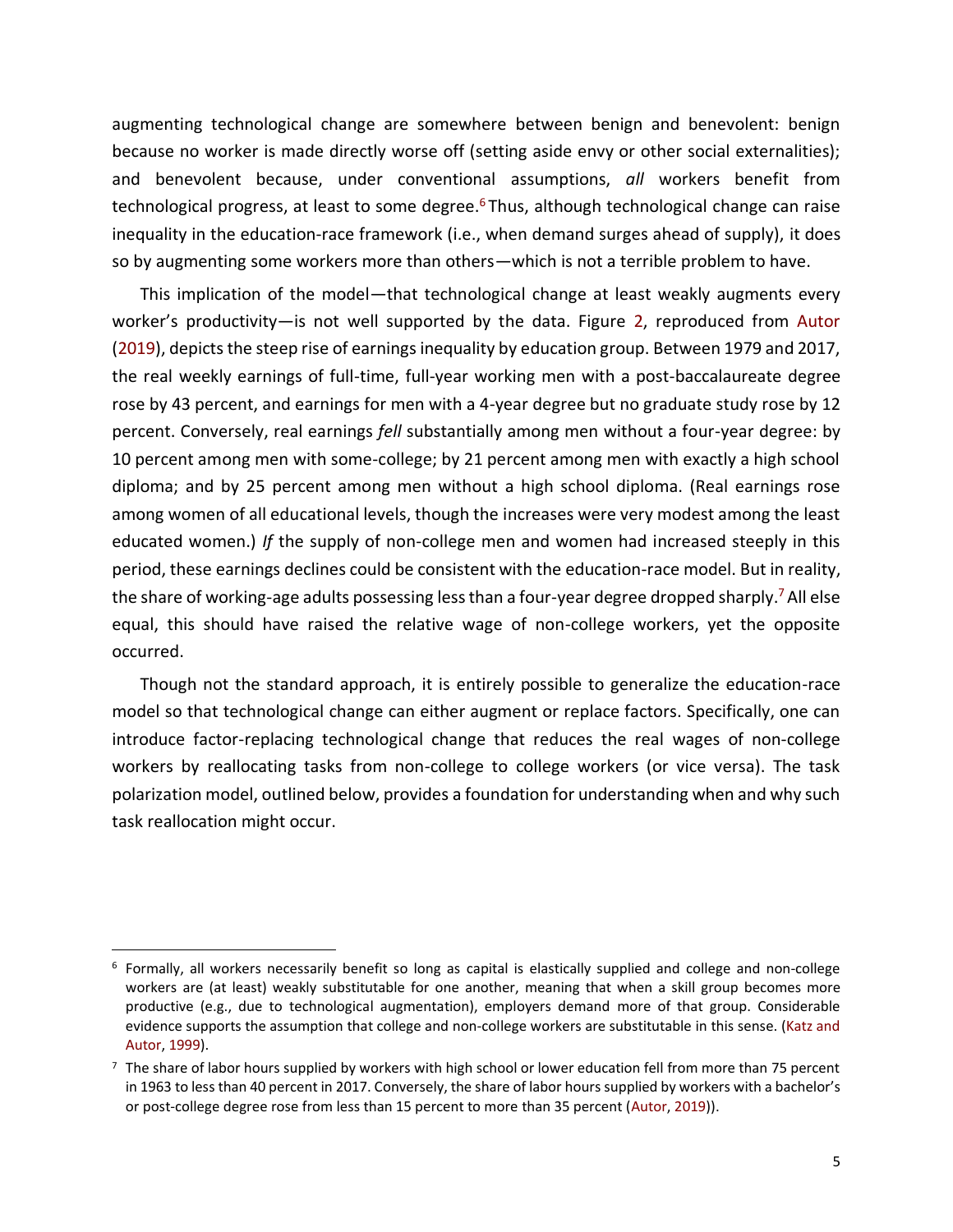augmenting technological change are somewhere between benign and benevolent: benign because no worker is made directly worse off (setting aside envy or other social externalities); and benevolent because, under conventional assumptions, *all* workers benefit from technological progress, at least to some degree.<sup>6</sup> Thus, although technological change can raise inequality in the education-race framework (i.e., when demand surges ahead of supply), it does so by augmenting some workers more than others—which is not a terrible problem to have.

This implication of the model—that technological change at least weakly augments every worker's productivity—is not well supported by the data. Figure 2, reproduced from Autor (2019), depicts the steep rise of earnings inequality by education group. Between 1979 and 2017, the real weekly earnings of full-time, full-year working men with a post-baccalaureate degree rose by 43 percent, and earnings for men with a 4-year degree but no graduate study rose by 12 percent. Conversely, real earnings *fell* substantially among men without a four-year degree: by 10 percent among men with some-college; by 21 percent among men with exactly a high school diploma; and by 25 percent among men without a high school diploma. (Real earnings rose among women of all educational levels, though the increases were very modest among the least educated women.) *If* the supply of non-college men and women had increased steeply in this period, these earnings declines could be consistent with the education-race model. But in reality, the share of working-age adults possessing less than a four-year degree dropped sharply.<sup>7</sup> All else equal, this should have raised the relative wage of non-college workers, yet the opposite occurred.

Though not the standard approach, it is entirely possible to generalize the education-race model so that technological change can either augment or replace factors. Specifically, one can introduce factor-replacing technological change that reduces the real wages of non-college workers by reallocating tasks from non-college to college workers (or vice versa). The task polarization model, outlined below, provides a foundation for understanding when and why such task reallocation might occur.

<sup>6</sup> Formally, all workers necessarily benefit so long as capital is elastically supplied and college and non-college workers are (at least) weakly substitutable for one another, meaning that when a skill group becomes more productive (e.g., due to technological augmentation), employers demand more of that group. Considerable evidence supports the assumption that college and non-college workers are substitutable in this sense. (Katz and Autor, 1999).

 $<sup>7</sup>$  The share of labor hours supplied by workers with high school or lower education fell from more than 75 percent</sup> in 1963 to less than 40 percent in 2017. Conversely, the share of labor hours supplied by workers with a bachelor's or post-college degree rose from less than 15 percent to more than 35 percent (Autor, 2019)).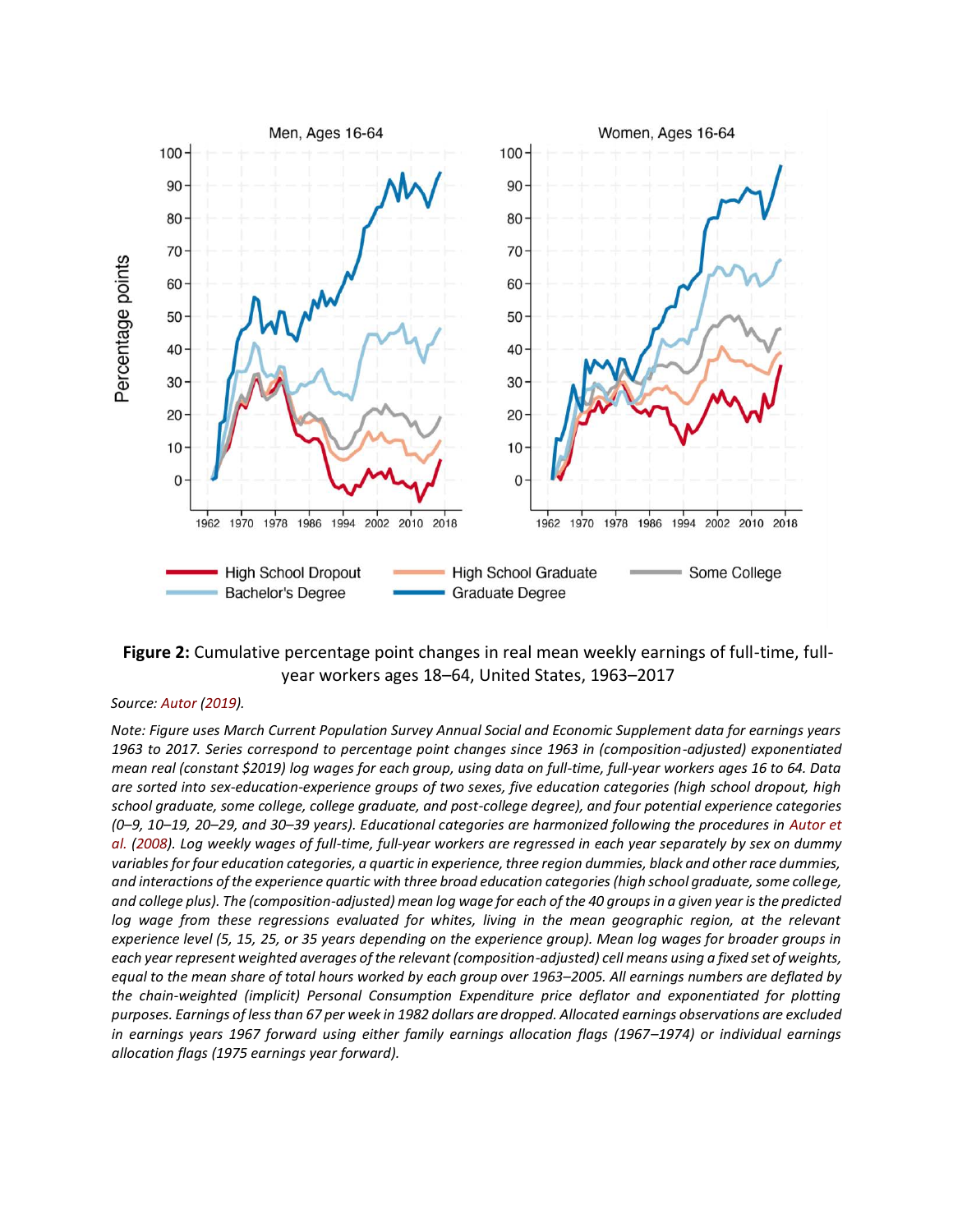



#### *Source: Autor (2019).*

*Note: Figure uses March Current Population Survey Annual Social and Economic Supplement data for earnings years 1963 to 2017. Series correspond to percentage point changes since 1963 in (composition-adjusted) exponentiated mean real (constant \$2019) log wages for each group, using data on full-time, full-year workers ages 16 to 64. Data are sorted into sex-education-experience groups of two sexes, five education categories (high school dropout, high school graduate, some college, college graduate, and post-college degree), and four potential experience categories (0–9, 10–19, 20–29, and 30–39 years). Educational categories are harmonized following the procedures in Autor et al. (2008). Log weekly wages of full-time, full-year workers are regressed in each year separately by sex on dummy variables for four education categories, a quartic in experience, three region dummies, black and other race dummies, and interactions of the experience quartic with three broad education categories (high school graduate, some college, and college plus). The (composition-adjusted) mean log wage for each of the 40 groups in a given year is the predicted*  log wage from these regressions evaluated for whites, living in the mean geographic region, at the relevant *experience level (5, 15, 25, or 35 years depending on the experience group). Mean log wages for broader groups in each year represent weighted averages of the relevant (composition-adjusted) cell means using a fixed set of weights, equal to the mean share of total hours worked by each group over 1963–2005. All earnings numbers are deflated by the chain-weighted (implicit) Personal Consumption Expenditure price deflator and exponentiated for plotting purposes. Earnings of less than 67 per week in 1982 dollars are dropped. Allocated earnings observations are excluded in earnings years 1967 forward using either family earnings allocation flags (1967–1974) or individual earnings allocation flags (1975 earnings year forward).*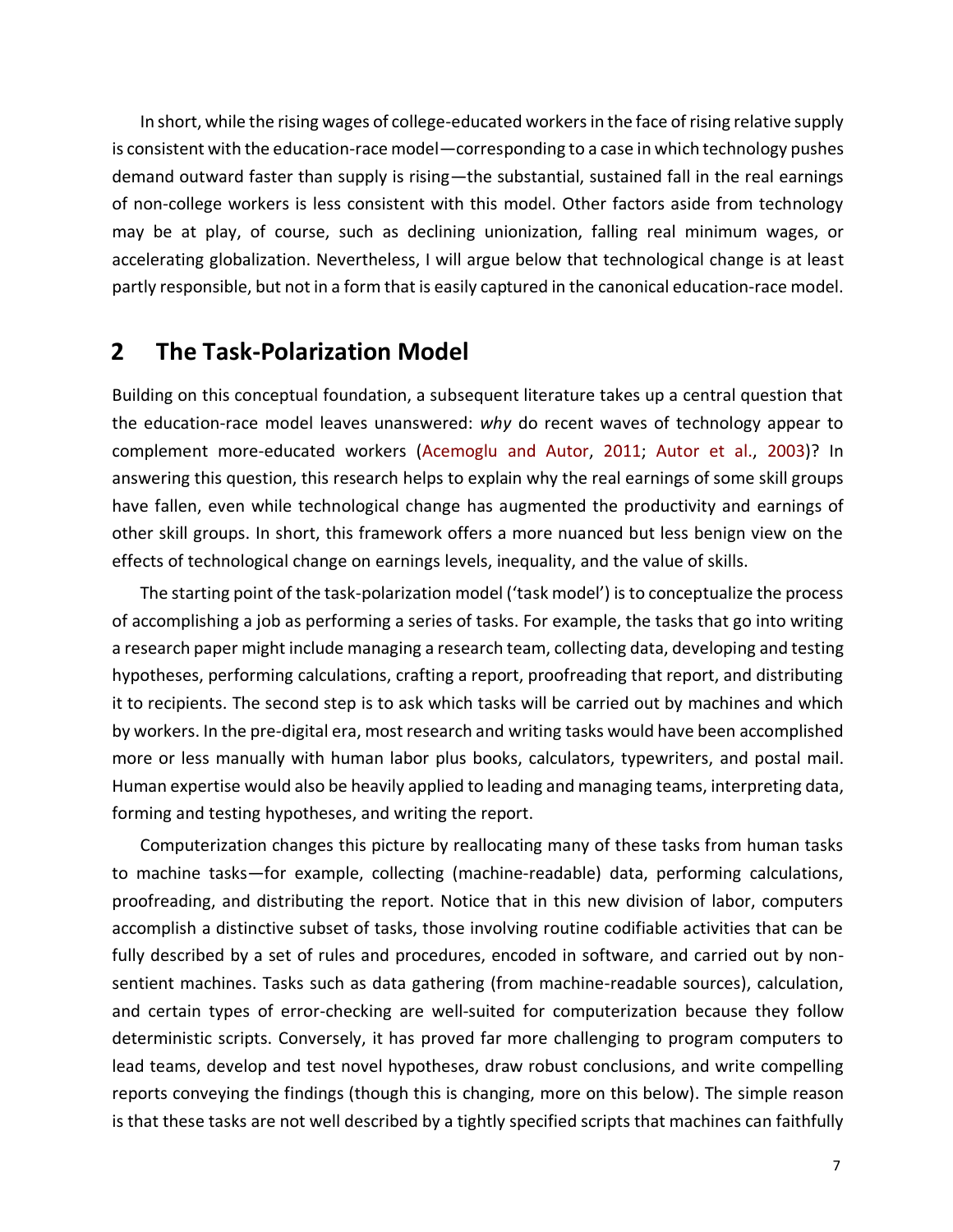In short, while the rising wages of college-educated workers in the face of rising relative supply is consistent with the education-race model—corresponding to a case in which technology pushes demand outward faster than supply is rising—the substantial, sustained fall in the real earnings of non-college workers is less consistent with this model. Other factors aside from technology may be at play, of course, such as declining unionization, falling real minimum wages, or accelerating globalization. Nevertheless, I will argue below that technological change is at least partly responsible, but not in a form that is easily captured in the canonical education-race model.

# **2 The Task-Polarization Model**

Building on this conceptual foundation, a subsequent literature takes up a central question that the education-race model leaves unanswered: *why* do recent waves of technology appear to complement more-educated workers (Acemoglu and Autor, 2011; Autor et al., 2003)? In answering this question, this research helps to explain why the real earnings of some skill groups have fallen, even while technological change has augmented the productivity and earnings of other skill groups. In short, this framework offers a more nuanced but less benign view on the effects of technological change on earnings levels, inequality, and the value of skills.

The starting point of the task-polarization model ('task model') is to conceptualize the process of accomplishing a job as performing a series of tasks. For example, the tasks that go into writing a research paper might include managing a research team, collecting data, developing and testing hypotheses, performing calculations, crafting a report, proofreading that report, and distributing it to recipients. The second step is to ask which tasks will be carried out by machines and which by workers. In the pre-digital era, most research and writing tasks would have been accomplished more or less manually with human labor plus books, calculators, typewriters, and postal mail. Human expertise would also be heavily applied to leading and managing teams, interpreting data, forming and testing hypotheses, and writing the report.

Computerization changes this picture by reallocating many of these tasks from human tasks to machine tasks—for example, collecting (machine-readable) data, performing calculations, proofreading, and distributing the report. Notice that in this new division of labor, computers accomplish a distinctive subset of tasks, those involving routine codifiable activities that can be fully described by a set of rules and procedures, encoded in software, and carried out by nonsentient machines. Tasks such as data gathering (from machine-readable sources), calculation, and certain types of error-checking are well-suited for computerization because they follow deterministic scripts. Conversely, it has proved far more challenging to program computers to lead teams, develop and test novel hypotheses, draw robust conclusions, and write compelling reports conveying the findings (though this is changing, more on this below). The simple reason is that these tasks are not well described by a tightly specified scripts that machines can faithfully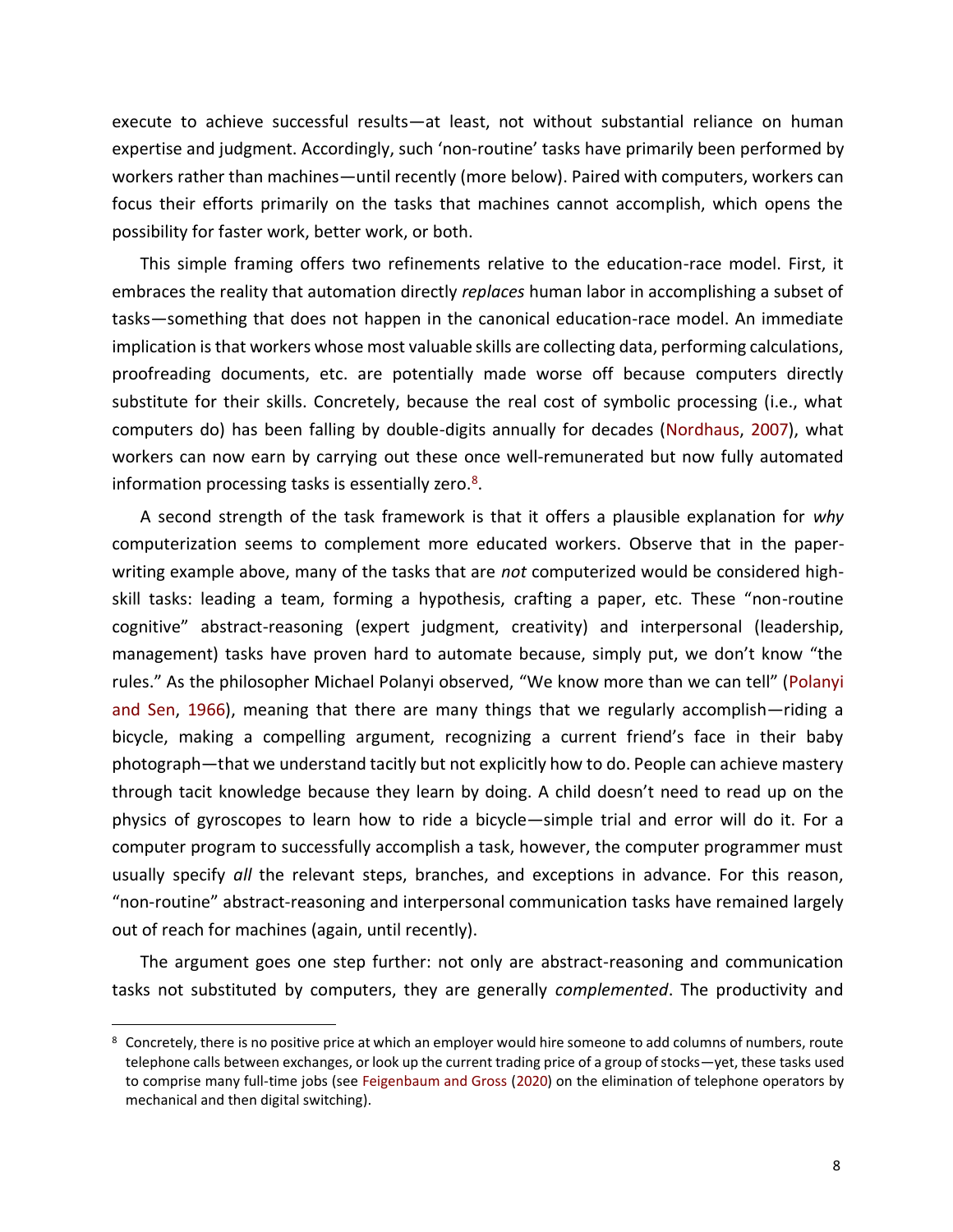execute to achieve successful results—at least, not without substantial reliance on human expertise and judgment. Accordingly, such 'non-routine' tasks have primarily been performed by workers rather than machines—until recently (more below). Paired with computers, workers can focus their efforts primarily on the tasks that machines cannot accomplish, which opens the possibility for faster work, better work, or both.

This simple framing offers two refinements relative to the education-race model. First, it embraces the reality that automation directly *replaces* human labor in accomplishing a subset of tasks—something that does not happen in the canonical education-race model. An immediate implication is that workers whose most valuable skills are collecting data, performing calculations, proofreading documents, etc. are potentially made worse off because computers directly substitute for their skills. Concretely, because the real cost of symbolic processing (i.e., what computers do) has been falling by double-digits annually for decades (Nordhaus, 2007), what workers can now earn by carrying out these once well-remunerated but now fully automated information processing tasks is essentially zero.<sup>8</sup>.

A second strength of the task framework is that it offers a plausible explanation for *why* computerization seems to complement more educated workers. Observe that in the paperwriting example above, many of the tasks that are *not* computerized would be considered highskill tasks: leading a team, forming a hypothesis, crafting a paper, etc. These "non-routine cognitive" abstract-reasoning (expert judgment, creativity) and interpersonal (leadership, management) tasks have proven hard to automate because, simply put, we don't know "the rules." As the philosopher Michael Polanyi observed, "We know more than we can tell" (Polanyi and Sen, 1966), meaning that there are many things that we regularly accomplish—riding a bicycle, making a compelling argument, recognizing a current friend's face in their baby photograph—that we understand tacitly but not explicitly how to do. People can achieve mastery through tacit knowledge because they learn by doing. A child doesn't need to read up on the physics of gyroscopes to learn how to ride a bicycle—simple trial and error will do it. For a computer program to successfully accomplish a task, however, the computer programmer must usually specify *all* the relevant steps, branches, and exceptions in advance. For this reason, "non-routine" abstract-reasoning and interpersonal communication tasks have remained largely out of reach for machines (again, until recently).

The argument goes one step further: not only are abstract-reasoning and communication tasks not substituted by computers, they are generally *complemented*. The productivity and

<sup>&</sup>lt;sup>8</sup> Concretely, there is no positive price at which an employer would hire someone to add columns of numbers, route telephone calls between exchanges, or look up the current trading price of a group of stocks—yet, these tasks used to comprise many full-time jobs (see Feigenbaum and Gross (2020) on the elimination of telephone operators by mechanical and then digital switching).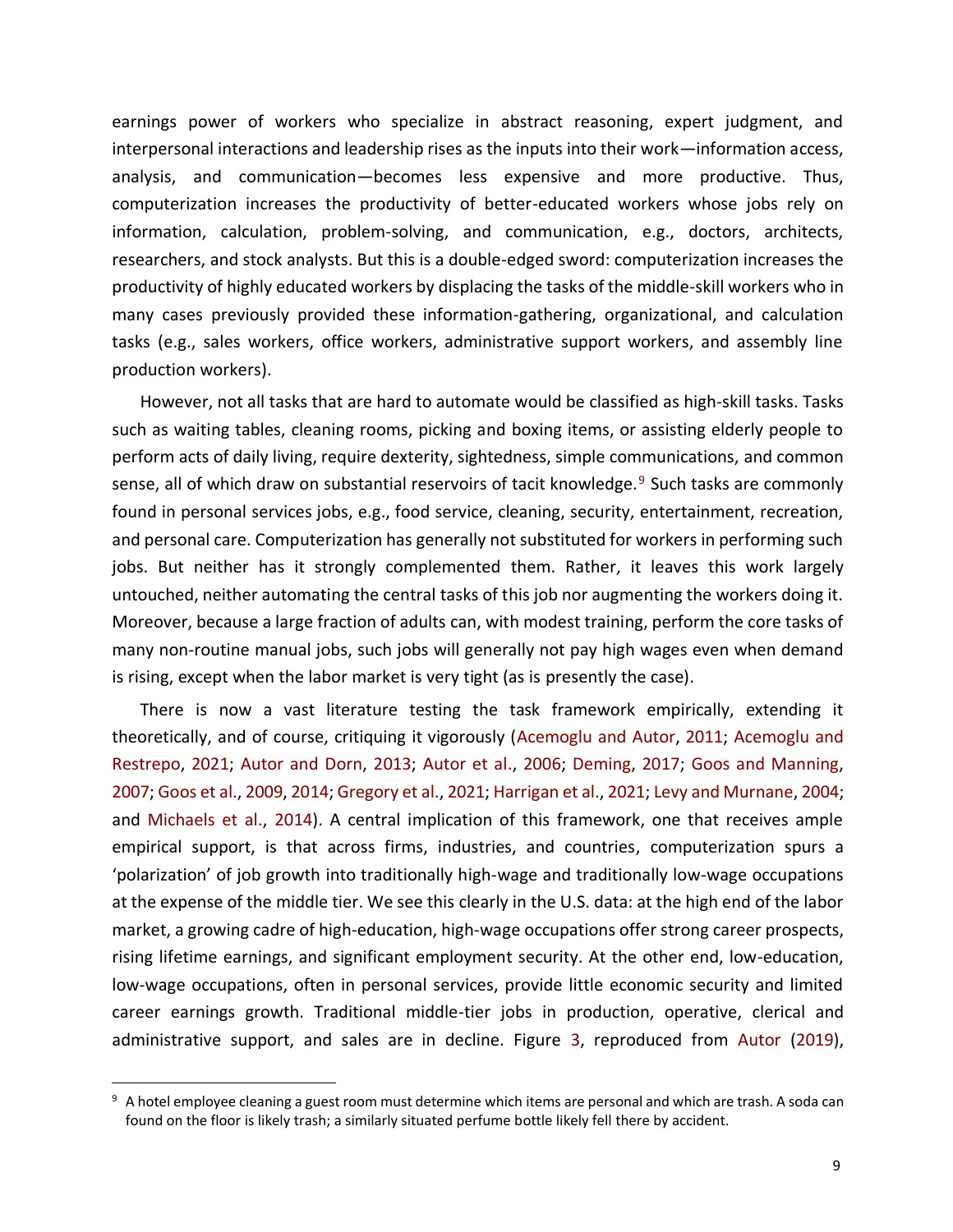earnings power of workers who specialize in abstract reasoning, expert judgment, and interpersonal interactions and leadership rises as the inputs into their work—information access, analysis, and communication—becomes less expensive and more productive. Thus, computerization increases the productivity of better-educated workers whose jobs rely on information, calculation, problem-solving, and communication, e.g., doctors, architects, researchers, and stock analysts. But this is a double-edged sword: computerization increases the productivity of highly educated workers by displacing the tasks of the middle-skill workers who in many cases previously provided these information-gathering, organizational, and calculation tasks (e.g., sales workers, office workers, administrative support workers, and assembly line production workers).

However, not all tasks that are hard to automate would be classified as high-skill tasks. Tasks such as waiting tables, cleaning rooms, picking and boxing items, or assisting elderly people to perform acts of daily living, require dexterity, sightedness, simple communications, and common sense, all of which draw on substantial reservoirs of tacit knowledge.<sup>9</sup> Such tasks are commonly found in personal services jobs, e.g., food service, cleaning, security, entertainment, recreation, and personal care. Computerization has generally not substituted for workers in performing such jobs. But neither has it strongly complemented them. Rather, it leaves this work largely untouched, neither automating the central tasks of this job nor augmenting the workers doing it. Moreover, because a large fraction of adults can, with modest training, perform the core tasks of many non-routine manual jobs, such jobs will generally not pay high wages even when demand is rising, except when the labor market is very tight (as is presently the case).

There is now a vast literature testing the task framework empirically, extending it theoretically, and of course, critiquing it vigorously (Acemoglu and Autor, 2011; Acemoglu and Restrepo, 2021; Autor and Dorn, 2013; Autor et al., 2006; Deming, 2017; Goos and Manning, 2007; Goos et al., 2009, 2014; Gregory et al., 2021; Harrigan et al., 2021; Levy and Murnane, 2004; and Michaels et al., 2014). A central implication of this framework, one that receives ample empirical support, is that across firms, industries, and countries, computerization spurs a 'polarization' of job growth into traditionally high-wage and traditionally low-wage occupations at the expense of the middle tier. We see this clearly in the U.S. data: at the high end of the labor market, a growing cadre of high-education, high-wage occupations offer strong career prospects, rising lifetime earnings, and significant employment security. At the other end, low-education, low-wage occupations, often in personal services, provide little economic security and limited career earnings growth. Traditional middle-tier jobs in production, operative, clerical and administrative support, and sales are in decline. Figure 3, reproduced from Autor (2019),

<sup>&</sup>lt;sup>9</sup> A hotel employee cleaning a guest room must determine which items are personal and which are trash. A soda can found on the floor is likely trash; a similarly situated perfume bottle likely fell there by accident.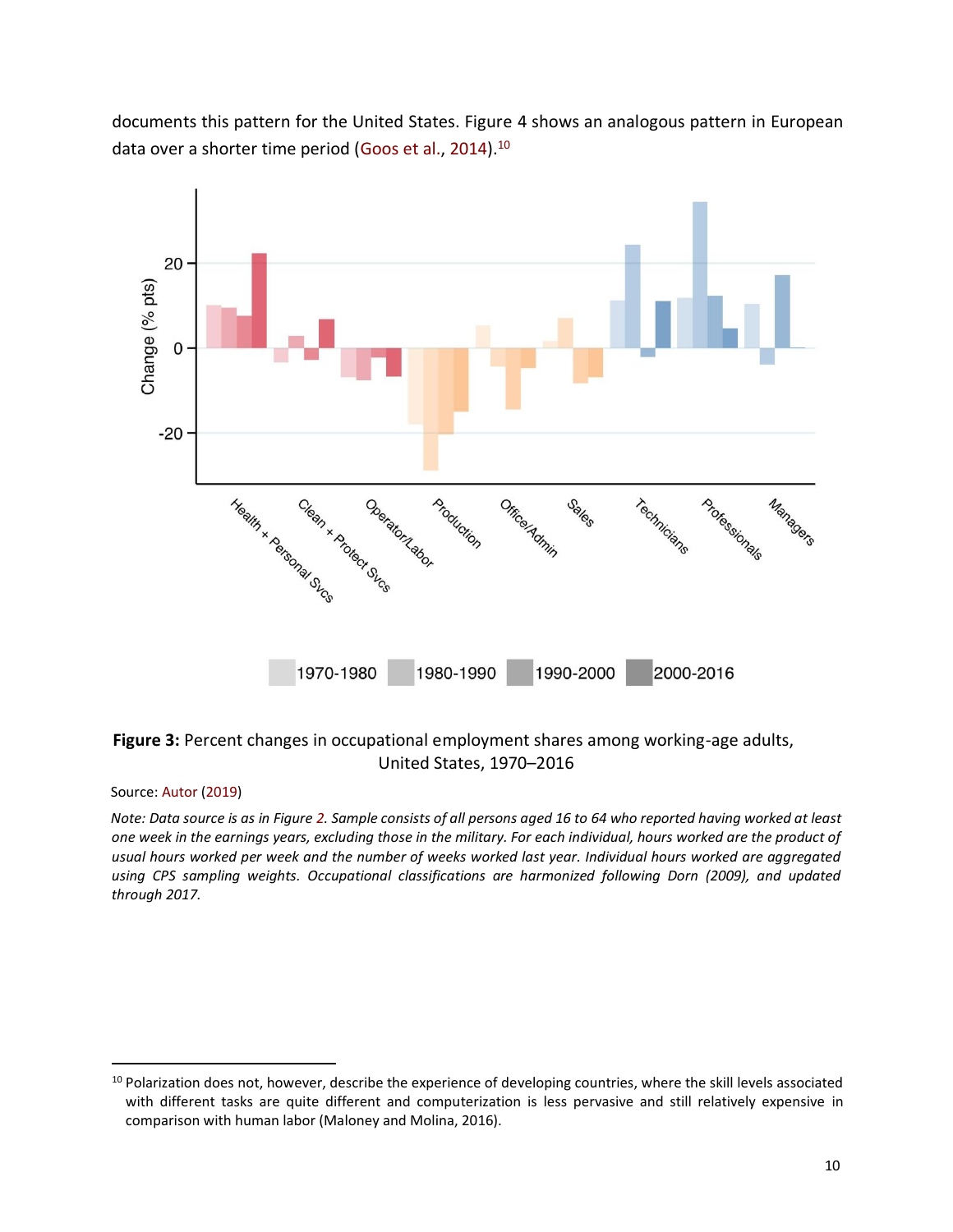documents this pattern for the United States. Figure 4 shows an analogous pattern in European data over a shorter time period (Goos et al., 2014).<sup>10</sup>



## **Figure 3:** Percent changes in occupational employment shares among working-age adults, United States, 1970–2016

### Source: Autor (2019)

*Note: Data source is as in Figure 2. Sample consists of all persons aged 16 to 64 who reported having worked at least one week in the earnings years, excluding those in the military. For each individual, hours worked are the product of usual hours worked per week and the number of weeks worked last year. Individual hours worked are aggregated using CPS sampling weights. Occupational classifications are harmonized following Dorn (2009), and updated through 2017.*

<sup>&</sup>lt;sup>10</sup> Polarization does not, however, describe the experience of developing countries, where the skill levels associated with different tasks are quite different and computerization is less pervasive and still relatively expensive in comparison with human labor (Maloney and Molina, 2016).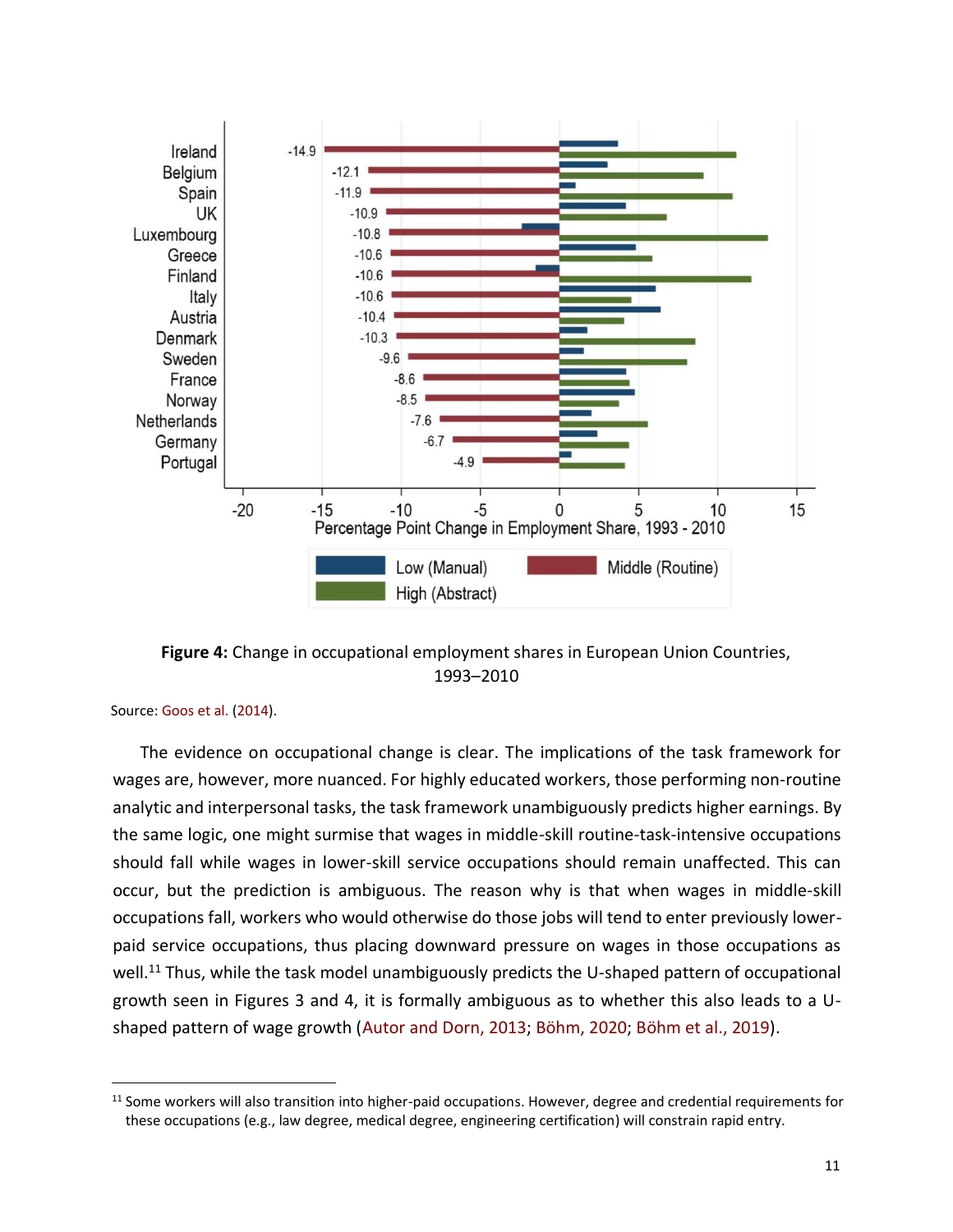

**Figure 4:** Change in occupational employment shares in European Union Countries, 1993–2010

Source: Goos et al. (2014).

The evidence on occupational change is clear. The implications of the task framework for wages are, however, more nuanced. For highly educated workers, those performing non-routine analytic and interpersonal tasks, the task framework unambiguously predicts higher earnings. By the same logic, one might surmise that wages in middle-skill routine-task-intensive occupations should fall while wages in lower-skill service occupations should remain unaffected. This can occur, but the prediction is ambiguous. The reason why is that when wages in middle-skill occupations fall, workers who would otherwise do those jobs will tend to enter previously lowerpaid service occupations, thus placing downward pressure on wages in those occupations as well.<sup>11</sup> Thus, while the task model unambiguously predicts the U-shaped pattern of occupational growth seen in Figures 3 and 4, it is formally ambiguous as to whether this also leads to a Ushaped pattern of wage growth (Autor and Dorn, 2013; Böhm, 2020; Böhm et al., 2019).

<sup>&</sup>lt;sup>11</sup> Some workers will also transition into higher-paid occupations. However, degree and credential requirements for these occupations (e.g., law degree, medical degree, engineering certification) will constrain rapid entry.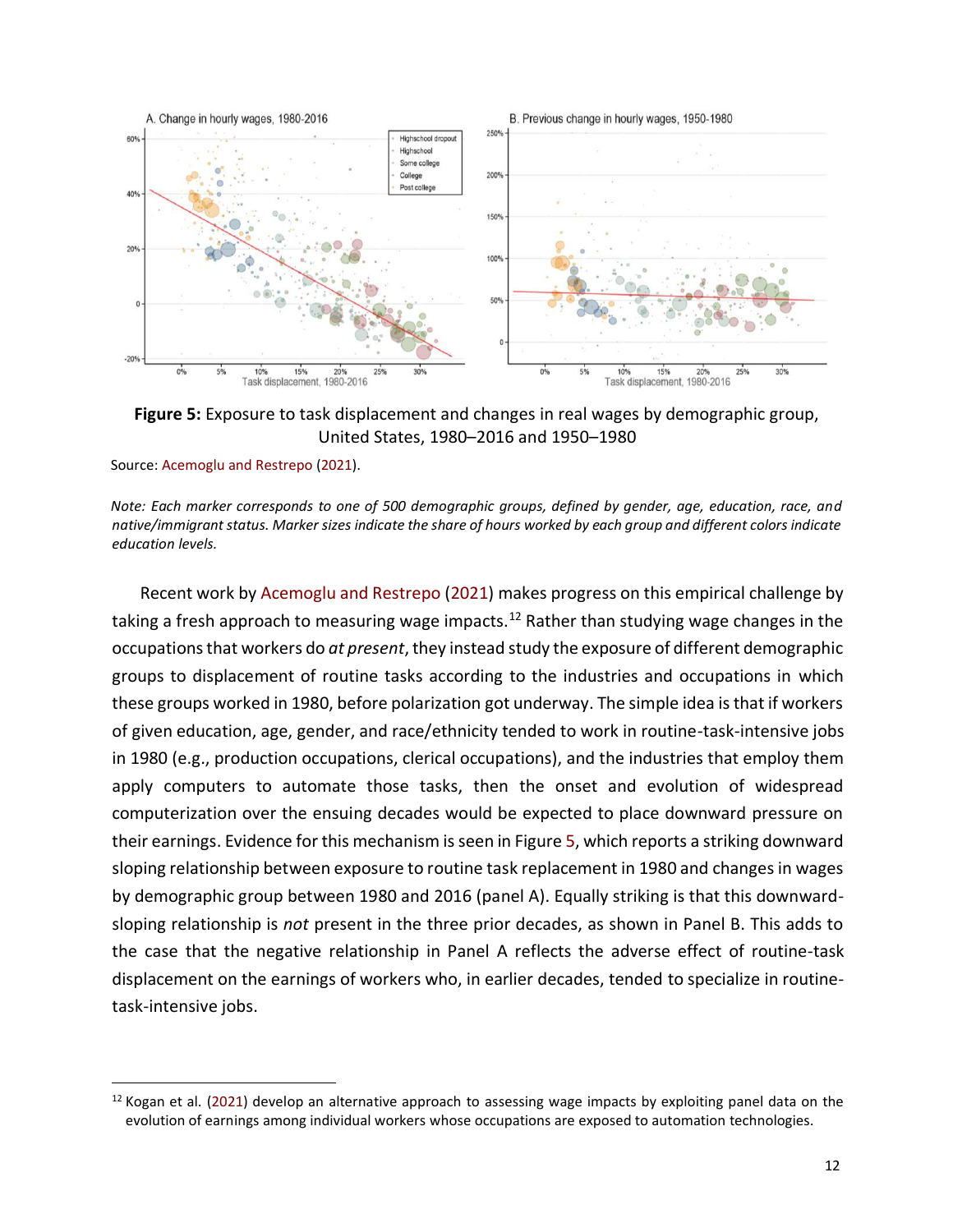

**Figure 5:** Exposure to task displacement and changes in real wages by demographic group, United States, 1980–2016 and 1950–1980

Source: Acemoglu and Restrepo (2021).

*Note: Each marker corresponds to one of 500 demographic groups, defined by gender, age, education, race, and native/immigrant status. Marker sizes indicate the share of hours worked by each group and different colors indicate education levels.*

Recent work by Acemoglu and Restrepo (2021) makes progress on this empirical challenge by taking a fresh approach to measuring wage impacts.<sup>12</sup> Rather than studying wage changes in the occupations that workers do *at present*, they instead study the exposure of different demographic groups to displacement of routine tasks according to the industries and occupations in which these groups worked in 1980, before polarization got underway. The simple idea is that if workers of given education, age, gender, and race/ethnicity tended to work in routine-task-intensive jobs in 1980 (e.g., production occupations, clerical occupations), and the industries that employ them apply computers to automate those tasks, then the onset and evolution of widespread computerization over the ensuing decades would be expected to place downward pressure on their earnings. Evidence for this mechanism is seen in Figure 5, which reports a striking downward sloping relationship between exposure to routine task replacement in 1980 and changes in wages by demographic group between 1980 and 2016 (panel A). Equally striking is that this downwardsloping relationship is *not* present in the three prior decades, as shown in Panel B. This adds to the case that the negative relationship in Panel A reflects the adverse effect of routine-task displacement on the earnings of workers who, in earlier decades, tended to specialize in routinetask-intensive jobs.

 $12$  Kogan et al. (2021) develop an alternative approach to assessing wage impacts by exploiting panel data on the evolution of earnings among individual workers whose occupations are exposed to automation technologies.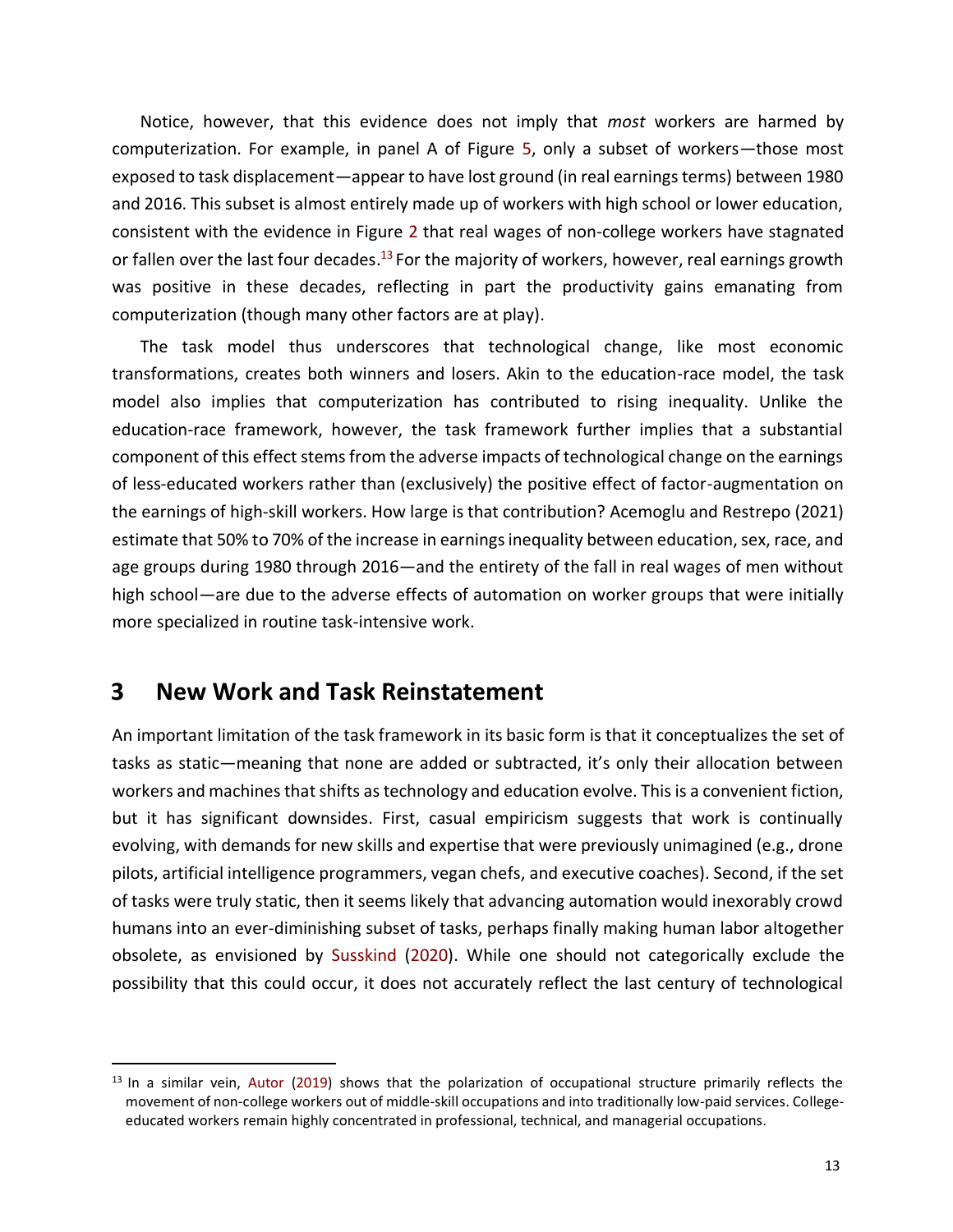Notice, however, that this evidence does not imply that *most* workers are harmed by computerization. For example, in panel A of Figure 5, only a subset of workers—those most exposed to task displacement—appear to have lost ground (in real earnings terms) between 1980 and 2016. This subset is almost entirely made up of workers with high school or lower education, consistent with the evidence in Figure 2 that real wages of non-college workers have stagnated or fallen over the last four decades.<sup>13</sup> For the majority of workers, however, real earnings growth was positive in these decades, reflecting in part the productivity gains emanating from computerization (though many other factors are at play).

The task model thus underscores that technological change, like most economic transformations, creates both winners and losers. Akin to the education-race model, the task model also implies that computerization has contributed to rising inequality. Unlike the education-race framework, however, the task framework further implies that a substantial component of this effect stems from the adverse impacts of technological change on the earnings of less-educated workers rather than (exclusively) the positive effect of factor-augmentation on the earnings of high-skill workers. How large is that contribution? Acemoglu and Restrepo (2021) estimate that 50% to 70% of the increase in earnings inequality between education, sex, race, and age groups during 1980 through 2016—and the entirety of the fall in real wages of men without high school—are due to the adverse effects of automation on worker groups that were initially more specialized in routine task-intensive work.

# **3 New Work and Task Reinstatement**

An important limitation of the task framework in its basic form is that it conceptualizes the set of tasks as static—meaning that none are added or subtracted, it's only their allocation between workers and machines that shifts as technology and education evolve. This is a convenient fiction, but it has significant downsides. First, casual empiricism suggests that work is continually evolving, with demands for new skills and expertise that were previously unimagined (e.g., drone pilots, artificial intelligence programmers, vegan chefs, and executive coaches). Second, if the set of tasks were truly static, then it seems likely that advancing automation would inexorably crowd humans into an ever-diminishing subset of tasks, perhaps finally making human labor altogether obsolete, as envisioned by Susskind (2020). While one should not categorically exclude the possibility that this could occur, it does not accurately reflect the last century of technological

 $<sup>13</sup>$  In a similar vein, Autor (2019) shows that the polarization of occupational structure primarily reflects the</sup> movement of non-college workers out of middle-skill occupations and into traditionally low-paid services. Collegeeducated workers remain highly concentrated in professional, technical, and managerial occupations.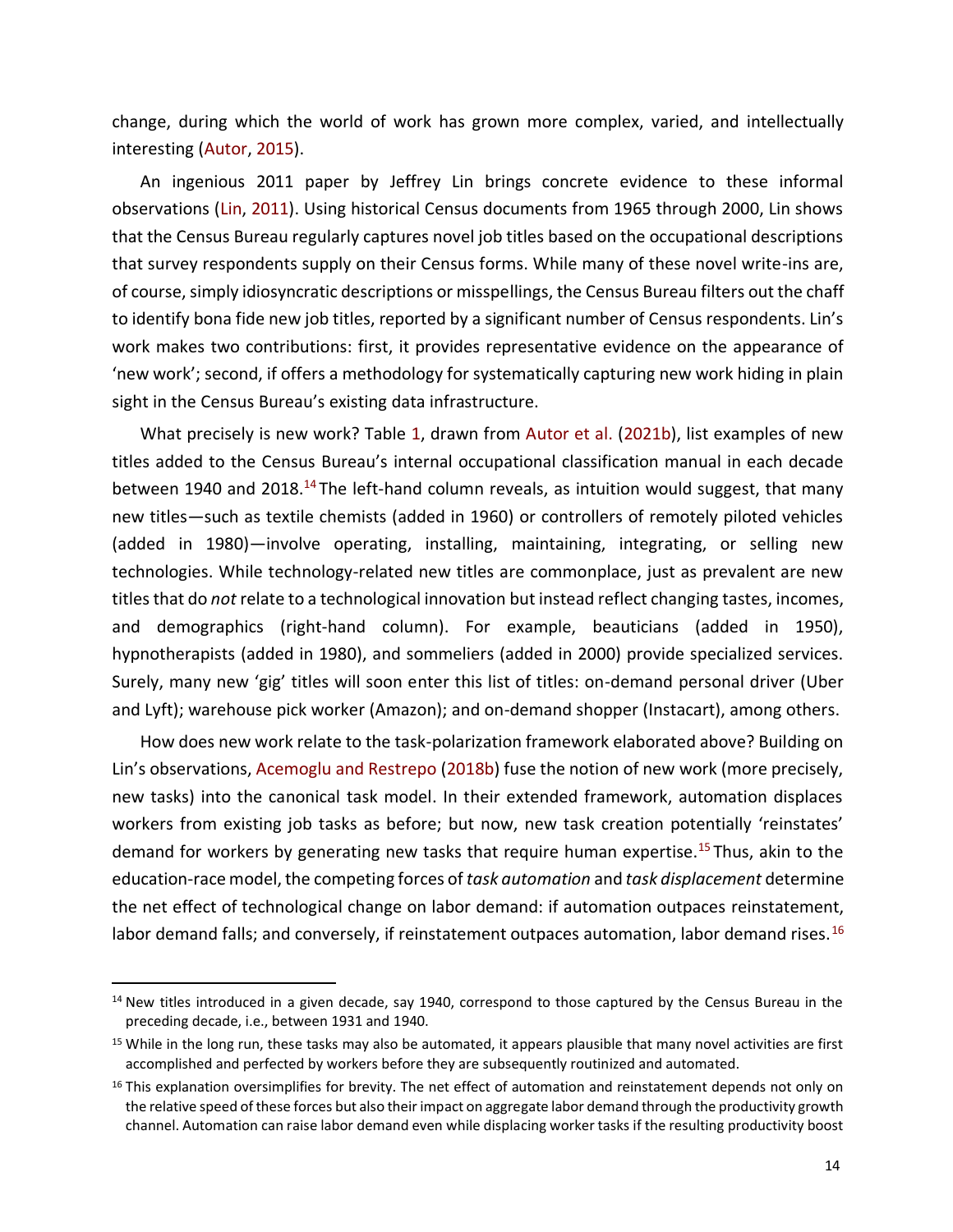change, during which the world of work has grown more complex, varied, and intellectually interesting (Autor, 2015).

An ingenious 2011 paper by Jeffrey Lin brings concrete evidence to these informal observations (Lin, 2011). Using historical Census documents from 1965 through 2000, Lin shows that the Census Bureau regularly captures novel job titles based on the occupational descriptions that survey respondents supply on their Census forms. While many of these novel write-ins are, of course, simply idiosyncratic descriptions or misspellings, the Census Bureau filters out the chaff to identify bona fide new job titles, reported by a significant number of Census respondents. Lin's work makes two contributions: first, it provides representative evidence on the appearance of 'new work'; second, if offers a methodology for systematically capturing new work hiding in plain sight in the Census Bureau's existing data infrastructure.

What precisely is new work? Table 1, drawn from Autor et al. (2021b), list examples of new titles added to the Census Bureau's internal occupational classification manual in each decade between 1940 and 2018.<sup>14</sup> The left-hand column reveals, as intuition would suggest, that many new titles—such as textile chemists (added in 1960) or controllers of remotely piloted vehicles (added in 1980)—involve operating, installing, maintaining, integrating, or selling new technologies. While technology-related new titles are commonplace, just as prevalent are new titles that do *not* relate to a technological innovation but instead reflect changing tastes, incomes, and demographics (right-hand column). For example, beauticians (added in 1950), hypnotherapists (added in 1980), and sommeliers (added in 2000) provide specialized services. Surely, many new 'gig' titles will soon enter this list of titles: on-demand personal driver (Uber and Lyft); warehouse pick worker (Amazon); and on-demand shopper (Instacart), among others.

How does new work relate to the task-polarization framework elaborated above? Building on Lin's observations, Acemoglu and Restrepo (2018b) fuse the notion of new work (more precisely, new tasks) into the canonical task model. In their extended framework, automation displaces workers from existing job tasks as before; but now, new task creation potentially 'reinstates' demand for workers by generating new tasks that require human expertise.<sup>15</sup> Thus, akin to the education-race model, the competing forces of *task automation* and *task displacement* determine the net effect of technological change on labor demand: if automation outpaces reinstatement, labor demand falls; and conversely, if reinstatement outpaces automation, labor demand rises.<sup>16</sup>

 $14$  New titles introduced in a given decade, say 1940, correspond to those captured by the Census Bureau in the preceding decade, i.e., between 1931 and 1940.

<sup>&</sup>lt;sup>15</sup> While in the long run, these tasks may also be automated, it appears plausible that many novel activities are first accomplished and perfected by workers before they are subsequently routinized and automated.

<sup>&</sup>lt;sup>16</sup> This explanation oversimplifies for brevity. The net effect of automation and reinstatement depends not only on the relative speed of these forces but also their impact on aggregate labor demand through the productivity growth channel. Automation can raise labor demand even while displacing worker tasks if the resulting productivity boost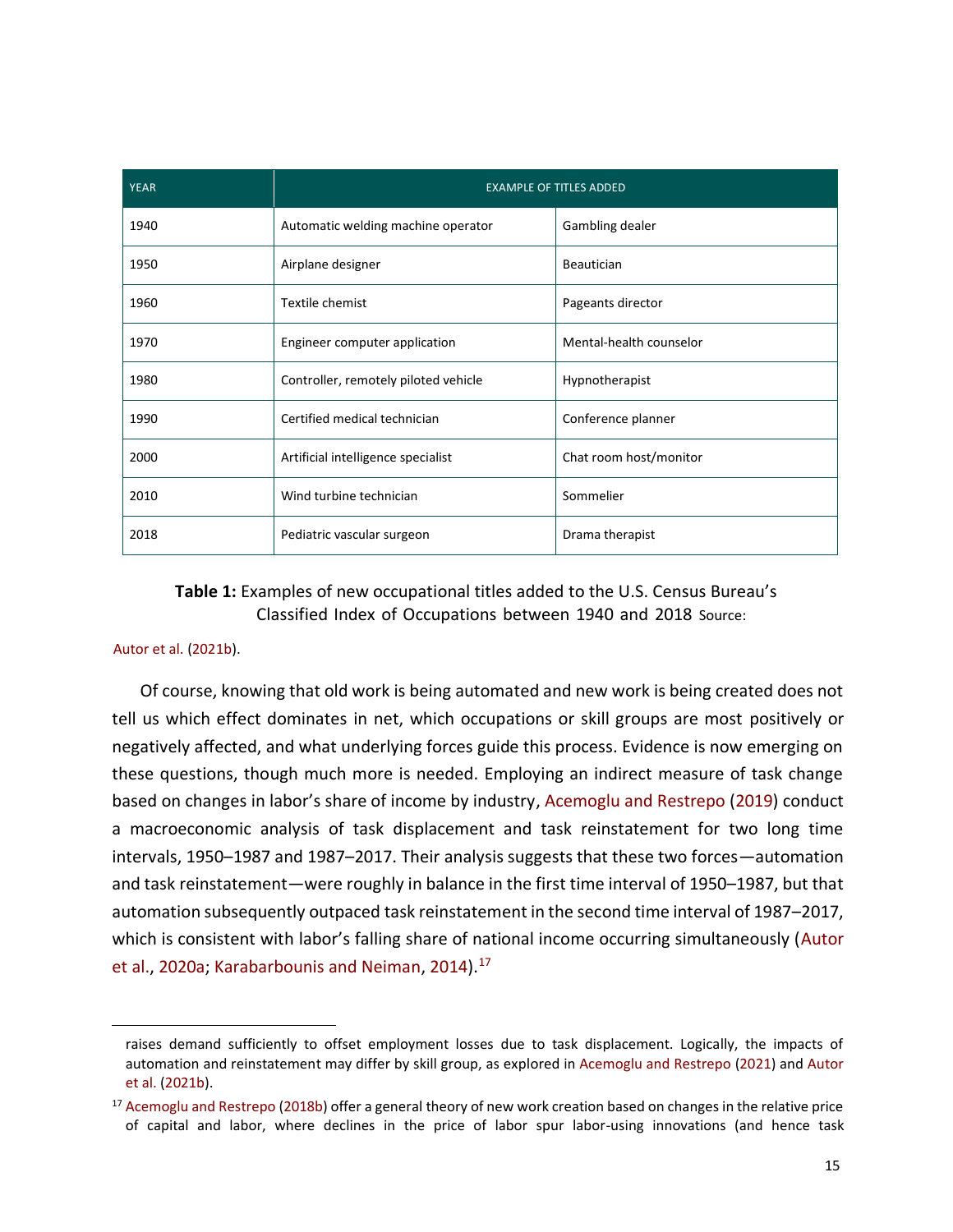| <b>YEAR</b> | <b>EXAMPLE OF TITLES ADDED</b>       |                         |
|-------------|--------------------------------------|-------------------------|
| 1940        | Automatic welding machine operator   | Gambling dealer         |
| 1950        | Airplane designer                    | Beautician              |
| 1960        | Textile chemist                      | Pageants director       |
| 1970        | Engineer computer application        | Mental-health counselor |
| 1980        | Controller, remotely piloted vehicle | Hypnotherapist          |
| 1990        | Certified medical technician         | Conference planner      |
| 2000        | Artificial intelligence specialist   | Chat room host/monitor  |
| 2010        | Wind turbine technician              | Sommelier               |
| 2018        | Pediatric vascular surgeon           | Drama therapist         |

## **Table 1:** Examples of new occupational titles added to the U.S. Census Bureau's Classified Index of Occupations between 1940 and 2018 Source:

#### Autor et al. (2021b).

Of course, knowing that old work is being automated and new work is being created does not tell us which effect dominates in net, which occupations or skill groups are most positively or negatively affected, and what underlying forces guide this process. Evidence is now emerging on these questions, though much more is needed. Employing an indirect measure of task change based on changes in labor's share of income by industry, Acemoglu and Restrepo (2019) conduct a macroeconomic analysis of task displacement and task reinstatement for two long time intervals, 1950–1987 and 1987–2017. Their analysis suggests that these two forces—automation and task reinstatement—were roughly in balance in the first time interval of 1950–1987, but that automation subsequently outpaced task reinstatement in the second time interval of 1987–2017, which is consistent with labor's falling share of national income occurring simultaneously (Autor et al., 2020a; Karabarbounis and Neiman, 2014).<sup>17</sup>

raises demand sufficiently to offset employment losses due to task displacement. Logically, the impacts of automation and reinstatement may differ by skill group, as explored in Acemoglu and Restrepo (2021) and Autor et al. (2021b).

<sup>&</sup>lt;sup>17</sup> Acemoglu and Restrepo (2018b) offer a general theory of new work creation based on changes in the relative price of capital and labor, where declines in the price of labor spur labor-using innovations (and hence task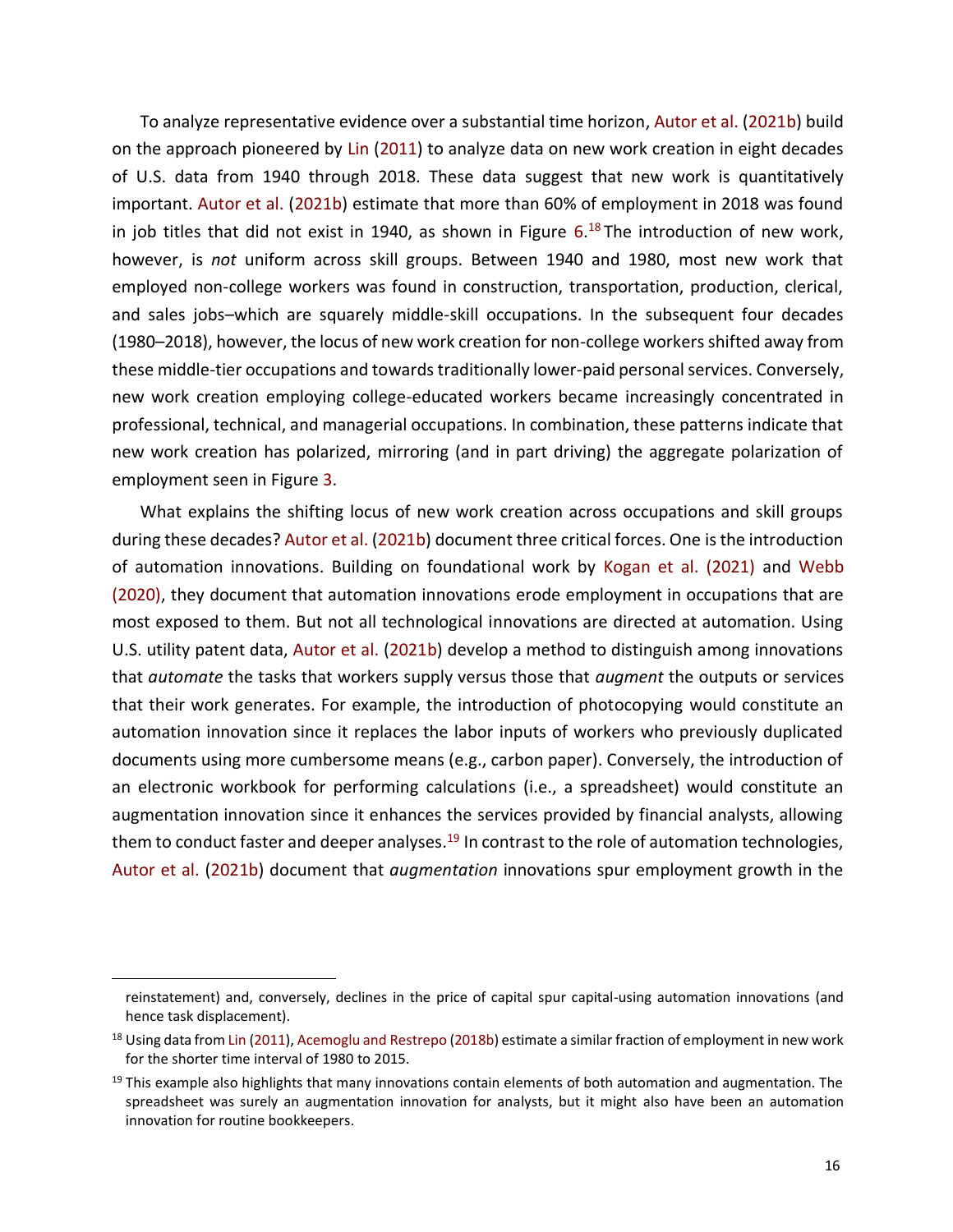To analyze representative evidence over a substantial time horizon, Autor et al. (2021b) build on the approach pioneered by Lin (2011) to analyze data on new work creation in eight decades of U.S. data from 1940 through 2018. These data suggest that new work is quantitatively important. Autor et al. (2021b) estimate that more than 60% of employment in 2018 was found in job titles that did not exist in 1940, as shown in Figure 6. <sup>18</sup> The introduction of new work, however, is *not* uniform across skill groups. Between 1940 and 1980, most new work that employed non-college workers was found in construction, transportation, production, clerical, and sales jobs–which are squarely middle-skill occupations. In the subsequent four decades (1980–2018), however, the locus of new work creation for non-college workers shifted away from these middle-tier occupations and towards traditionally lower-paid personal services. Conversely, new work creation employing college-educated workers became increasingly concentrated in professional, technical, and managerial occupations. In combination, these patterns indicate that new work creation has polarized, mirroring (and in part driving) the aggregate polarization of employment seen in Figure 3.

What explains the shifting locus of new work creation across occupations and skill groups during these decades? Autor et al. (2021b) document three critical forces. One is the introduction of automation innovations. Building on foundational work by Kogan et al. (2021) and Webb (2020), they document that automation innovations erode employment in occupations that are most exposed to them. But not all technological innovations are directed at automation. Using U.S. utility patent data, Autor et al. (2021b) develop a method to distinguish among innovations that *automate* the tasks that workers supply versus those that *augment* the outputs or services that their work generates. For example, the introduction of photocopying would constitute an automation innovation since it replaces the labor inputs of workers who previously duplicated documents using more cumbersome means (e.g., carbon paper). Conversely, the introduction of an electronic workbook for performing calculations (i.e., a spreadsheet) would constitute an augmentation innovation since it enhances the services provided by financial analysts, allowing them to conduct faster and deeper analyses.<sup>19</sup> In contrast to the role of automation technologies, Autor et al. (2021b) document that *augmentation* innovations spur employment growth in the

reinstatement) and, conversely, declines in the price of capital spur capital-using automation innovations (and hence task displacement).

<sup>&</sup>lt;sup>18</sup> Using data from Lin (2011), Acemoglu and Restrepo (2018b) estimate a similar fraction of employment in new work for the shorter time interval of 1980 to 2015.

<sup>&</sup>lt;sup>19</sup> This example also highlights that many innovations contain elements of both automation and augmentation. The spreadsheet was surely an augmentation innovation for analysts, but it might also have been an automation innovation for routine bookkeepers.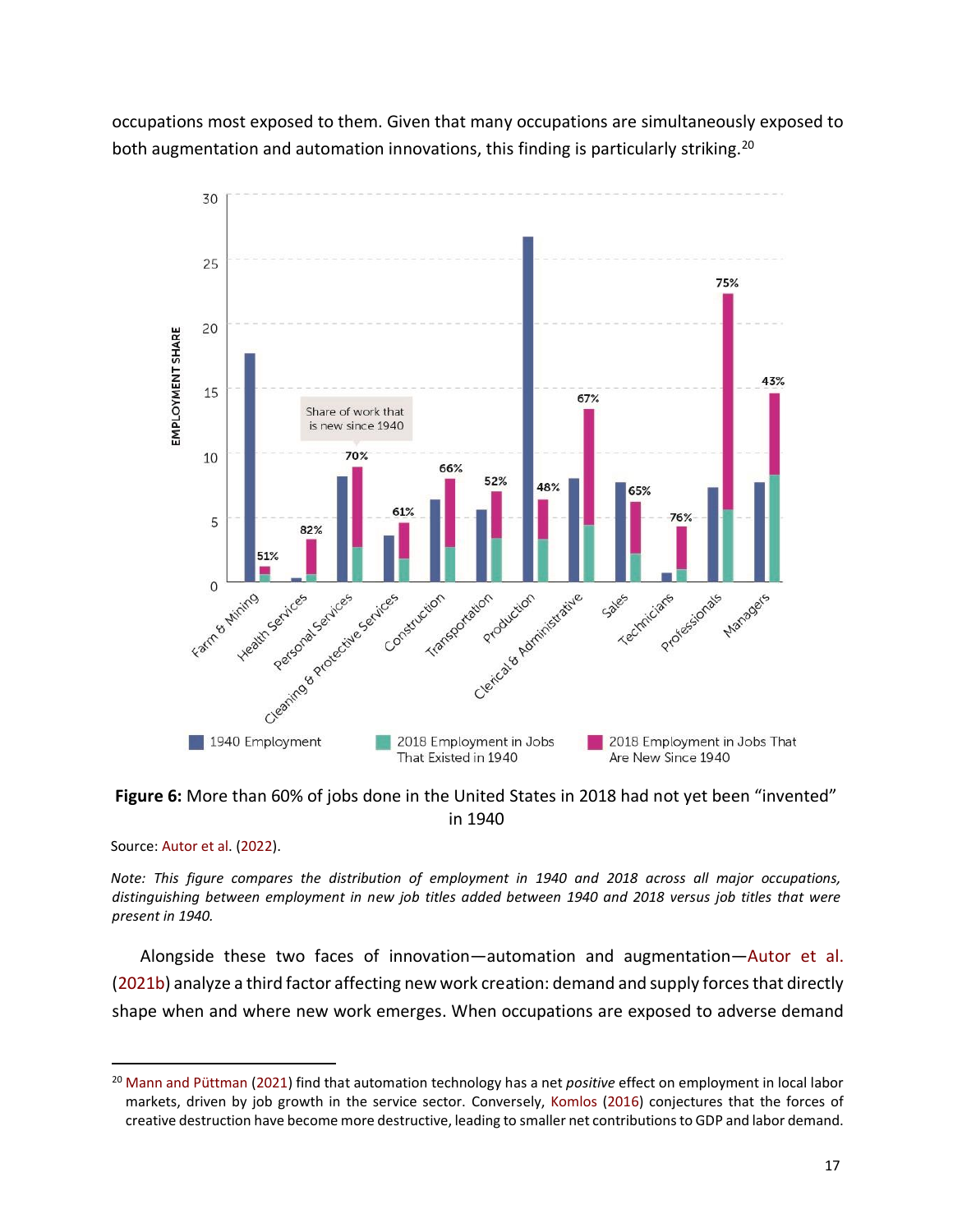occupations most exposed to them. Given that many occupations are simultaneously exposed to both augmentation and automation innovations, this finding is particularly striking.<sup>20</sup>



**Figure 6:** More than 60% of jobs done in the United States in 2018 had not yet been "invented" in 1940

Source: Autor et al. (2022).

*Note: This figure compares the distribution of employment in 1940 and 2018 across all major occupations, distinguishing between employment in new job titles added between 1940 and 2018 versus job titles that were present in 1940.* 

Alongside these two faces of innovation—automation and augmentation—Autor et al. (2021b) analyze a third factor affecting new work creation: demand and supply forces that directly shape when and where new work emerges. When occupations are exposed to adverse demand

<sup>20</sup> Mann and Püttman (2021) find that automation technology has a net *positive* effect on employment in local labor markets, driven by job growth in the service sector. Conversely, Komlos (2016) conjectures that the forces of creative destruction have become more destructive, leading to smaller net contributions to GDP and labor demand.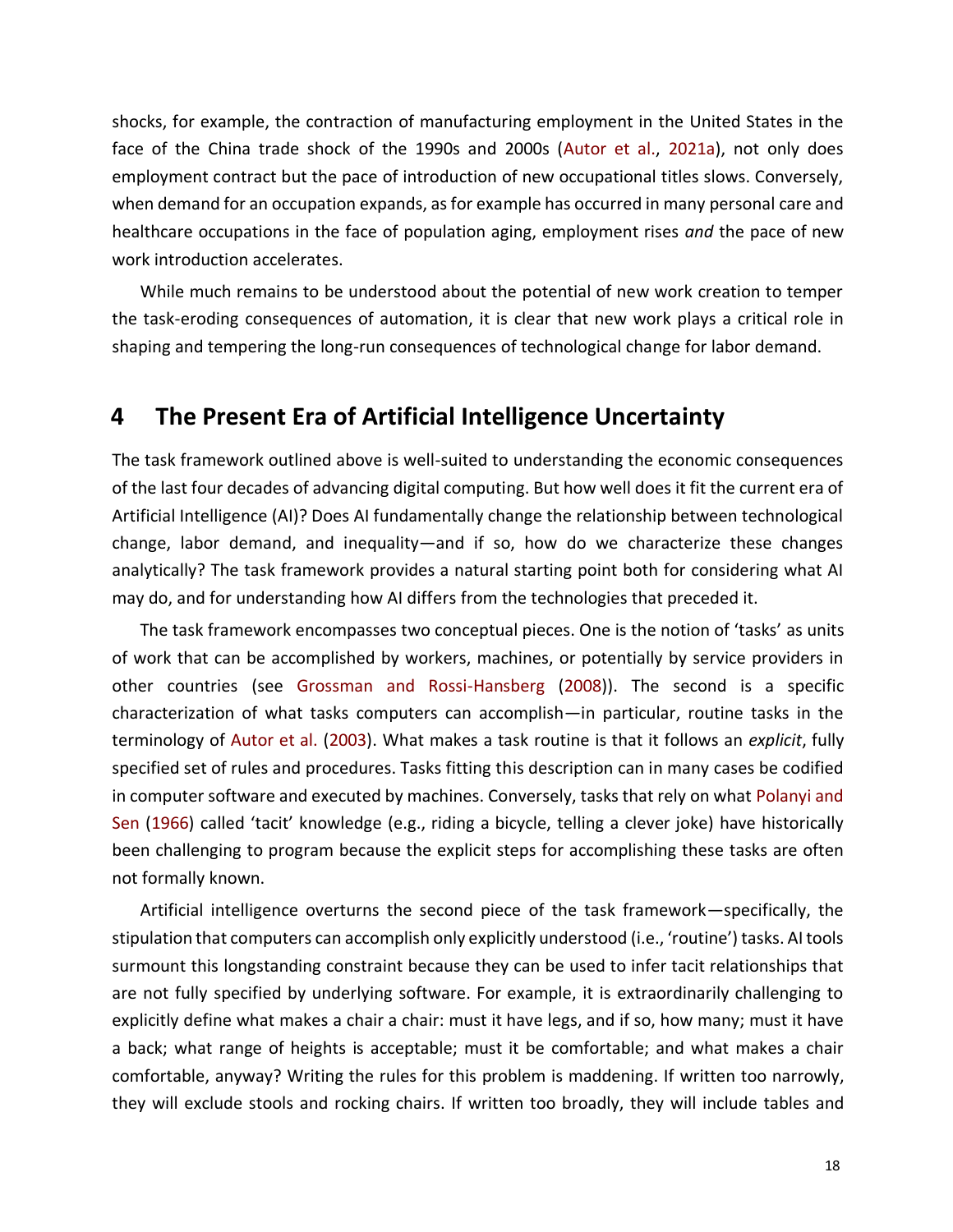shocks, for example, the contraction of manufacturing employment in the United States in the face of the China trade shock of the 1990s and 2000s (Autor et al., 2021a), not only does employment contract but the pace of introduction of new occupational titles slows. Conversely, when demand for an occupation expands, as for example has occurred in many personal care and healthcare occupations in the face of population aging, employment rises *and* the pace of new work introduction accelerates.

While much remains to be understood about the potential of new work creation to temper the task-eroding consequences of automation, it is clear that new work plays a critical role in shaping and tempering the long-run consequences of technological change for labor demand.

# **4 The Present Era of Artificial Intelligence Uncertainty**

The task framework outlined above is well-suited to understanding the economic consequences of the last four decades of advancing digital computing. But how well does it fit the current era of Artificial Intelligence (AI)? Does AI fundamentally change the relationship between technological change, labor demand, and inequality—and if so, how do we characterize these changes analytically? The task framework provides a natural starting point both for considering what AI may do, and for understanding how AI differs from the technologies that preceded it.

The task framework encompasses two conceptual pieces. One is the notion of 'tasks' as units of work that can be accomplished by workers, machines, or potentially by service providers in other countries (see Grossman and Rossi-Hansberg (2008)). The second is a specific characterization of what tasks computers can accomplish—in particular, routine tasks in the terminology of Autor et al. (2003). What makes a task routine is that it follows an *explicit*, fully specified set of rules and procedures. Tasks fitting this description can in many cases be codified in computer software and executed by machines. Conversely, tasks that rely on what Polanyi and Sen (1966) called 'tacit' knowledge (e.g., riding a bicycle, telling a clever joke) have historically been challenging to program because the explicit steps for accomplishing these tasks are often not formally known.

Artificial intelligence overturns the second piece of the task framework—specifically, the stipulation that computers can accomplish only explicitly understood (i.e., 'routine') tasks. AI tools surmount this longstanding constraint because they can be used to infer tacit relationships that are not fully specified by underlying software. For example, it is extraordinarily challenging to explicitly define what makes a chair a chair: must it have legs, and if so, how many; must it have a back; what range of heights is acceptable; must it be comfortable; and what makes a chair comfortable, anyway? Writing the rules for this problem is maddening. If written too narrowly, they will exclude stools and rocking chairs. If written too broadly, they will include tables and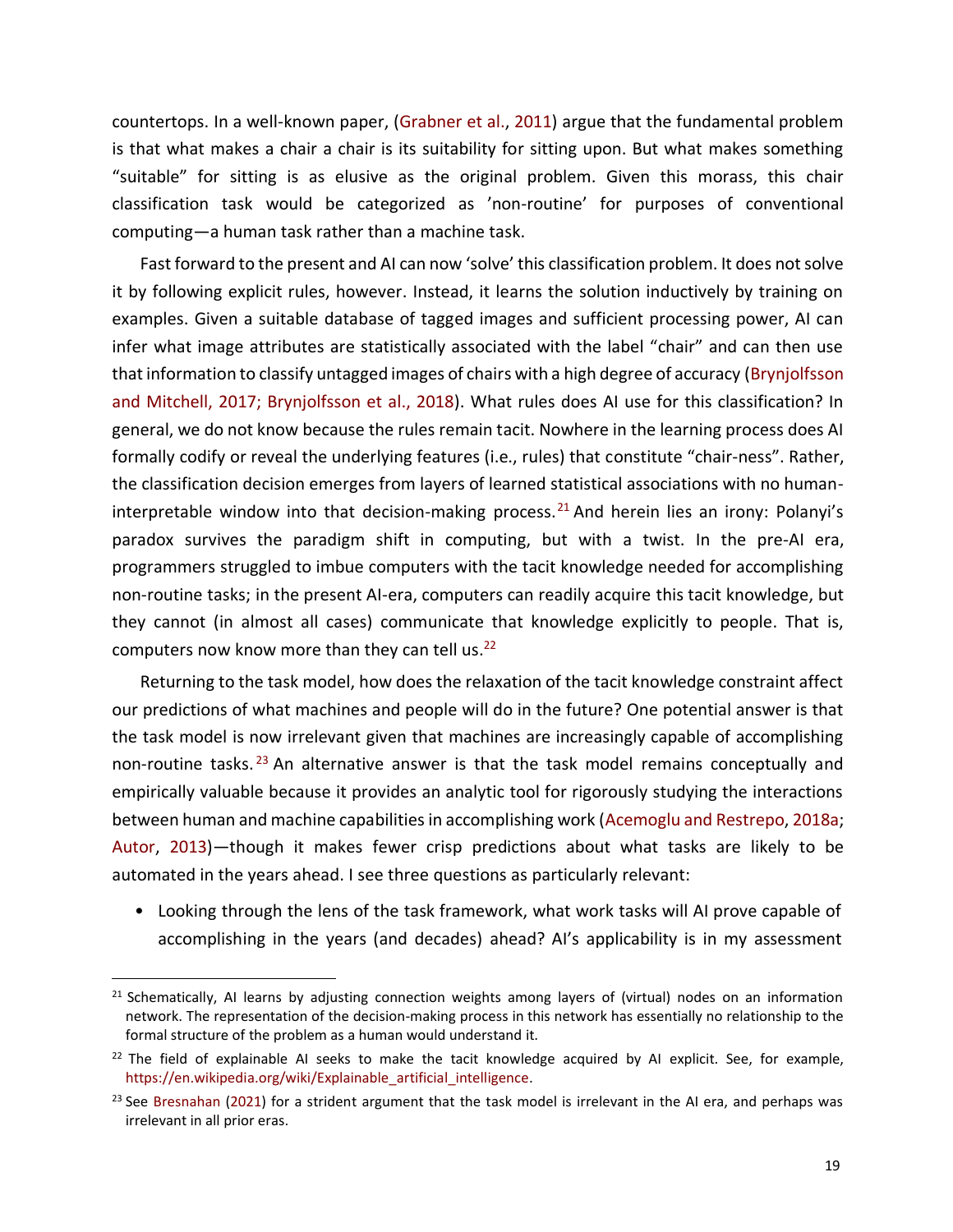countertops. In a well-known paper, (Grabner et al., 2011) argue that the fundamental problem is that what makes a chair a chair is its suitability for sitting upon. But what makes something "suitable" for sitting is as elusive as the original problem. Given this morass, this chair classification task would be categorized as 'non-routine' for purposes of conventional computing—a human task rather than a machine task.

Fast forward to the present and AI can now 'solve' this classification problem. It does not solve it by following explicit rules, however. Instead, it learns the solution inductively by training on examples. Given a suitable database of tagged images and sufficient processing power, AI can infer what image attributes are statistically associated with the label "chair" and can then use that information to classify untagged images of chairs with a high degree of accuracy (Brynjolfsson and Mitchell, 2017; Brynjolfsson et al., 2018). What rules does AI use for this classification? In general, we do not know because the rules remain tacit. Nowhere in the learning process does AI formally codify or reveal the underlying features (i.e., rules) that constitute "chair-ness". Rather, the classification decision emerges from layers of learned statistical associations with no humaninterpretable window into that decision-making process.<sup>21</sup> And herein lies an irony: Polanyi's paradox survives the paradigm shift in computing, but with a twist. In the pre-AI era, programmers struggled to imbue computers with the tacit knowledge needed for accomplishing non-routine tasks; in the present AI-era, computers can readily acquire this tacit knowledge, but they cannot (in almost all cases) communicate that knowledge explicitly to people. That is, computers now know more than they can tell us.<sup>22</sup>

Returning to the task model, how does the relaxation of the tacit knowledge constraint affect our predictions of what machines and people will do in the future? One potential answer is that the task model is now irrelevant given that machines are increasingly capable of accomplishing non-routine tasks.<sup>23</sup> An alternative answer is that the task model remains conceptually and empirically valuable because it provides an analytic tool for rigorously studying the interactions between human and machine capabilities in accomplishing work (Acemoglu and Restrepo, 2018a; Autor, 2013)—though it makes fewer crisp predictions about what tasks are likely to be automated in the years ahead. I see three questions as particularly relevant:

• Looking through the lens of the task framework, what work tasks will AI prove capable of accomplishing in the years (and decades) ahead? AI's applicability is in my assessment

<sup>&</sup>lt;sup>21</sup> Schematically, AI learns by adjusting connection weights among layers of (virtual) nodes on an information network. The representation of the decision-making process in this network has essentially no relationship to the formal structure of the problem as a human would understand it.

 $22$  The field of explainable AI seeks to make the tacit knowledge acquired by AI explicit. See, for example, [https://en.wikipedia.org/wiki/Explainable\\_artificial\\_intelligence.](https://en.wikipedia.org/wiki/Explainable_artificial_intelligence)

 $23$  See Bresnahan (2021) for a strident argument that the task model is irrelevant in the AI era, and perhaps was irrelevant in all prior eras.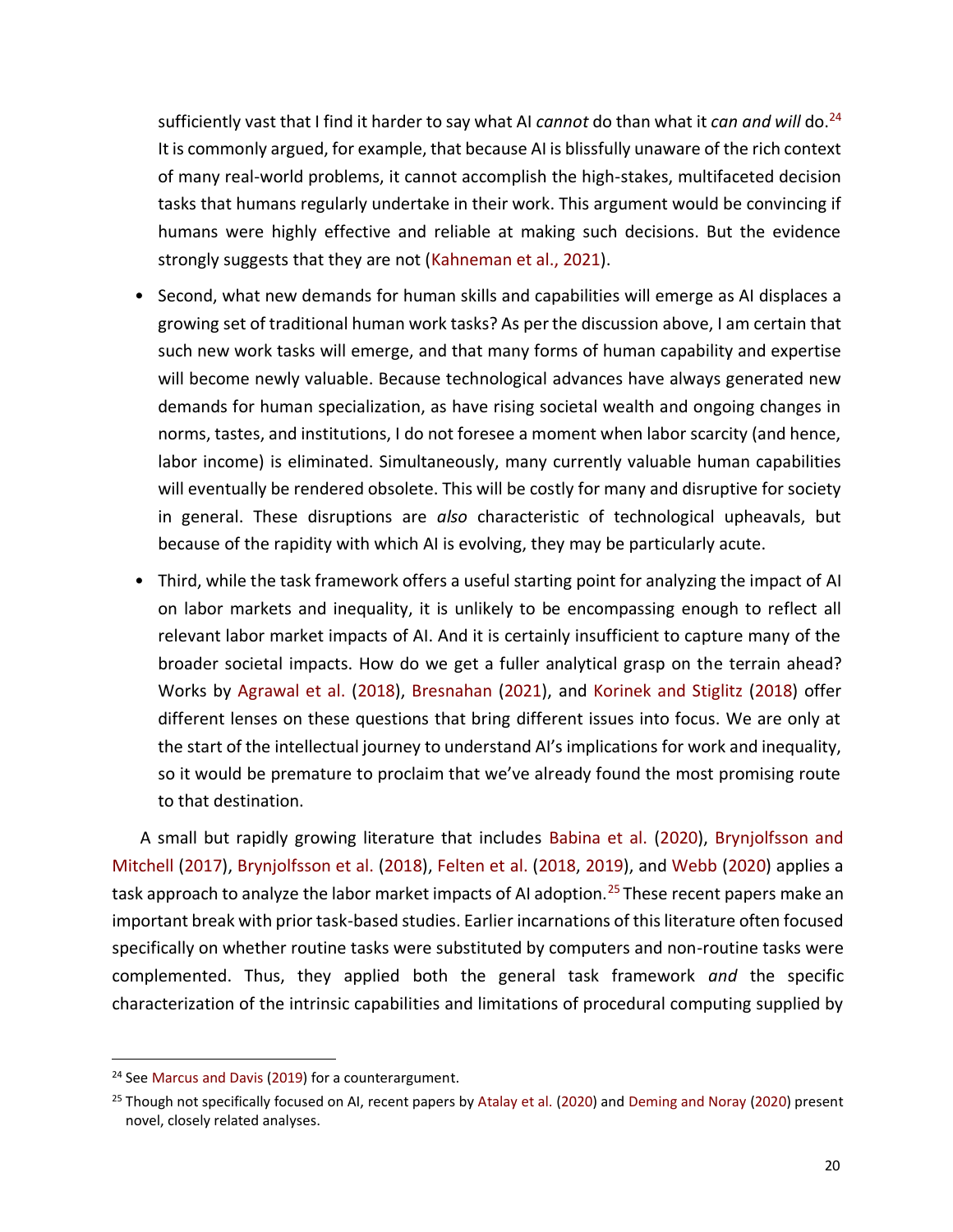sufficiently vast that I find it harder to say what AI *cannot* do than what it *can and will* do.<sup>24</sup> It is commonly argued, for example, that because AI is blissfully unaware of the rich context of many real-world problems, it cannot accomplish the high-stakes, multifaceted decision tasks that humans regularly undertake in their work. This argument would be convincing if humans were highly effective and reliable at making such decisions. But the evidence strongly suggests that they are not (Kahneman et al., 2021).

- Second, what new demands for human skills and capabilities will emerge as AI displaces a growing set of traditional human work tasks? As per the discussion above, I am certain that such new work tasks will emerge, and that many forms of human capability and expertise will become newly valuable. Because technological advances have always generated new demands for human specialization, as have rising societal wealth and ongoing changes in norms, tastes, and institutions, I do not foresee a moment when labor scarcity (and hence, labor income) is eliminated. Simultaneously, many currently valuable human capabilities will eventually be rendered obsolete. This will be costly for many and disruptive for society in general. These disruptions are *also* characteristic of technological upheavals, but because of the rapidity with which AI is evolving, they may be particularly acute.
- Third, while the task framework offers a useful starting point for analyzing the impact of AI on labor markets and inequality, it is unlikely to be encompassing enough to reflect all relevant labor market impacts of AI. And it is certainly insufficient to capture many of the broader societal impacts. How do we get a fuller analytical grasp on the terrain ahead? Works by Agrawal et al. (2018), Bresnahan (2021), and Korinek and Stiglitz (2018) offer different lenses on these questions that bring different issues into focus. We are only at the start of the intellectual journey to understand AI's implications for work and inequality, so it would be premature to proclaim that we've already found the most promising route to that destination.

A small but rapidly growing literature that includes Babina et al. (2020), Brynjolfsson and Mitchell (2017), Brynjolfsson et al. (2018), Felten et al. (2018, 2019), and Webb (2020) applies a task approach to analyze the labor market impacts of AI adoption.<sup>25</sup> These recent papers make an important break with prior task-based studies. Earlier incarnations of this literature often focused specifically on whether routine tasks were substituted by computers and non-routine tasks were complemented. Thus, they applied both the general task framework *and* the specific characterization of the intrinsic capabilities and limitations of procedural computing supplied by

<sup>&</sup>lt;sup>24</sup> See Marcus and Davis (2019) for a counterargument.

<sup>&</sup>lt;sup>25</sup> Though not specifically focused on AI, recent papers by Atalay et al. (2020) and Deming and Noray (2020) present novel, closely related analyses.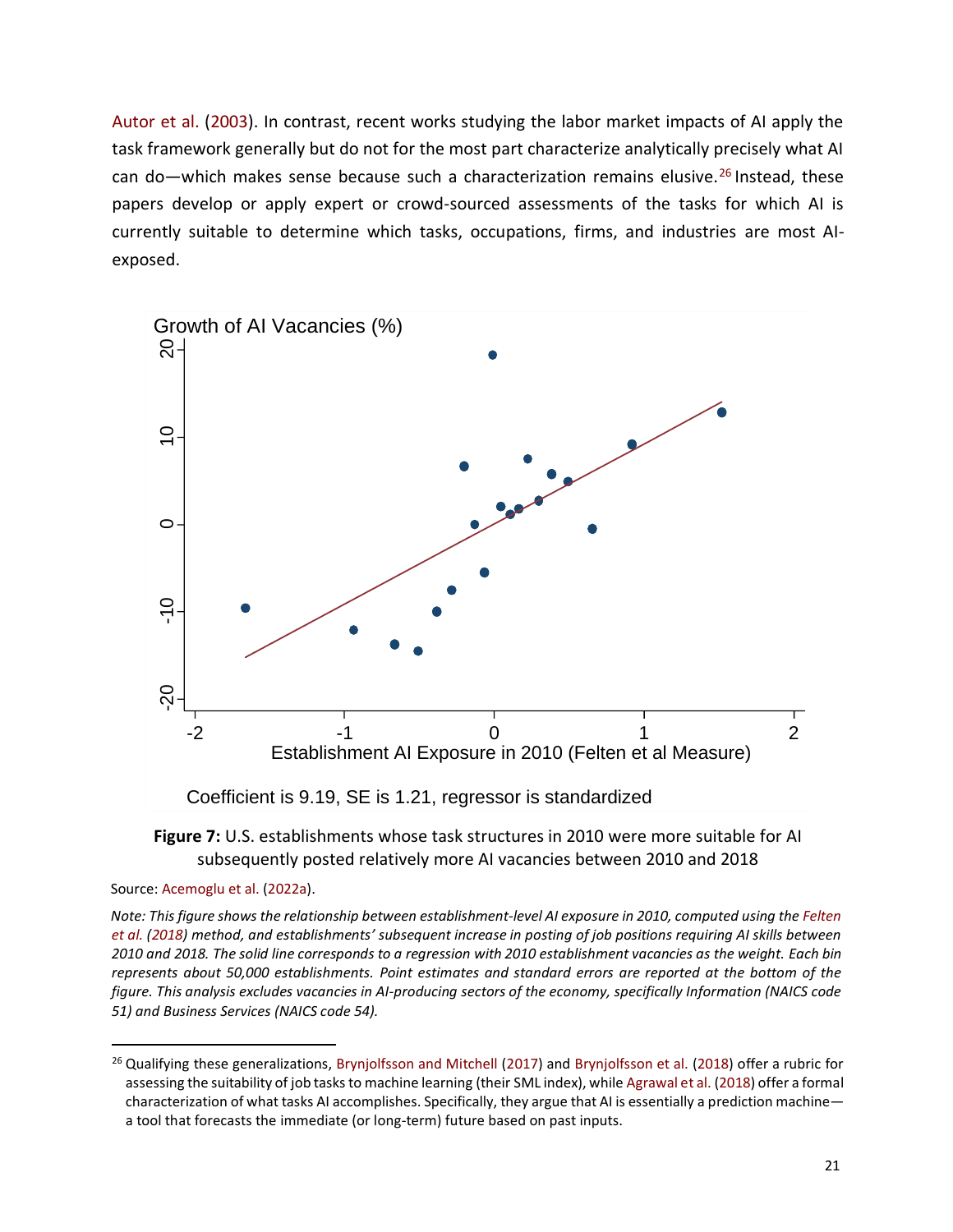Autor et al. (2003). In contrast, recent works studying the labor market impacts of AI apply the task framework generally but do not for the most part characterize analytically precisely what AI can do—which makes sense because such a characterization remains elusive.<sup>26</sup> Instead, these papers develop or apply expert or crowd-sourced assessments of the tasks for which AI is currently suitable to determine which tasks, occupations, firms, and industries are most AIexposed.





Source: Acemoglu et al. (2022a).

*Note: This figure shows the relationship between establishment-level AI exposure in 2010, computed using the Felten et al. (2018) method, and establishments' subsequent increase in posting of job positions requiring AI skills between 2010 and 2018. The solid line corresponds to a regression with 2010 establishment vacancies as the weight. Each bin represents about 50,000 establishments. Point estimates and standard errors are reported at the bottom of the figure. This analysis excludes vacancies in AI-producing sectors of the economy, specifically Information (NAICS code 51) and Business Services (NAICS code 54).*

<sup>&</sup>lt;sup>26</sup> Qualifying these generalizations, Brynjolfsson and Mitchell (2017) and Brynjolfsson et al. (2018) offer a rubric for assessing the suitability of job tasks to machine learning (their SML index), while Agrawal et al. (2018) offer a formal characterization of what tasks AI accomplishes. Specifically, they argue that AI is essentially a prediction machine a tool that forecasts the immediate (or long-term) future based on past inputs.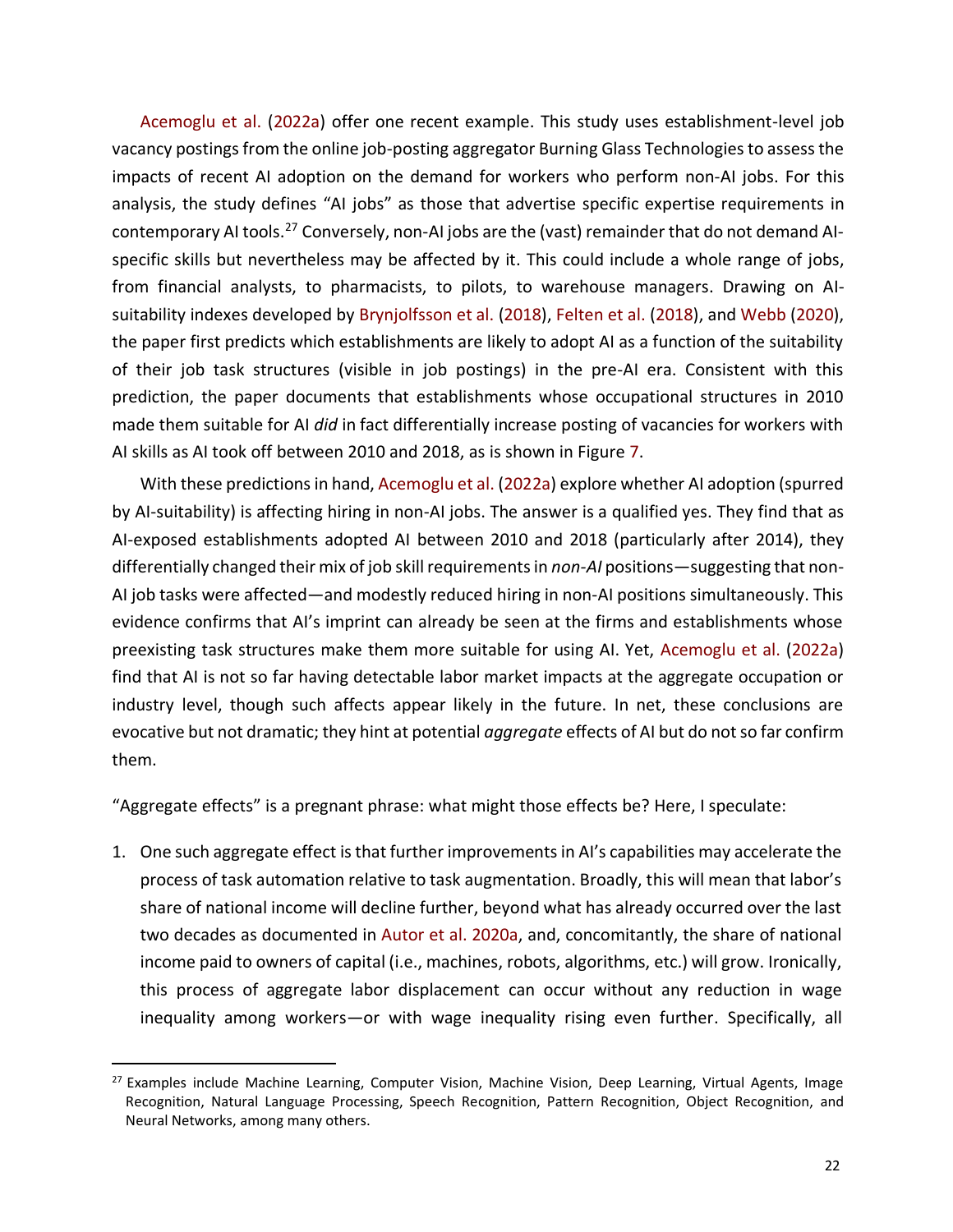Acemoglu et al. (2022a) offer one recent example. This study uses establishment-level job vacancy postings from the online job-posting aggregator Burning Glass Technologies to assess the impacts of recent AI adoption on the demand for workers who perform non-AI jobs. For this analysis, the study defines "AI jobs" as those that advertise specific expertise requirements in contemporary AI tools.<sup>27</sup> Conversely, non-AI jobs are the (vast) remainder that do not demand AIspecific skills but nevertheless may be affected by it. This could include a whole range of jobs, from financial analysts, to pharmacists, to pilots, to warehouse managers. Drawing on AIsuitability indexes developed by Brynjolfsson et al. (2018), Felten et al. (2018), and Webb (2020), the paper first predicts which establishments are likely to adopt AI as a function of the suitability of their job task structures (visible in job postings) in the pre-AI era. Consistent with this prediction, the paper documents that establishments whose occupational structures in 2010 made them suitable for AI *did* in fact differentially increase posting of vacancies for workers with AI skills as AI took off between 2010 and 2018, as is shown in Figure 7.

With these predictions in hand, Acemoglu et al. (2022a) explore whether AI adoption (spurred by AI-suitability) is affecting hiring in non-AI jobs. The answer is a qualified yes. They find that as AI-exposed establishments adopted AI between 2010 and 2018 (particularly after 2014), they differentially changed their mix of job skill requirements in *non-AI* positions—suggesting that non-AI job tasks were affected—and modestly reduced hiring in non-AI positions simultaneously. This evidence confirms that AI's imprint can already be seen at the firms and establishments whose preexisting task structures make them more suitable for using AI. Yet, Acemoglu et al. (2022a) find that AI is not so far having detectable labor market impacts at the aggregate occupation or industry level, though such affects appear likely in the future. In net, these conclusions are evocative but not dramatic; they hint at potential *aggregate* effects of AI but do not so far confirm them.

"Aggregate effects" is a pregnant phrase: what might those effects be? Here, I speculate:

1. One such aggregate effect is that further improvements in AI's capabilities may accelerate the process of task automation relative to task augmentation. Broadly, this will mean that labor's share of national income will decline further, beyond what has already occurred over the last two decades as documented in Autor et al. 2020a, and, concomitantly, the share of national income paid to owners of capital (i.e., machines, robots, algorithms, etc.) will grow. Ironically, this process of aggregate labor displacement can occur without any reduction in wage inequality among workers—or with wage inequality rising even further. Specifically, all

<sup>&</sup>lt;sup>27</sup> Examples include Machine Learning, Computer Vision, Machine Vision, Deep Learning, Virtual Agents, Image Recognition, Natural Language Processing, Speech Recognition, Pattern Recognition, Object Recognition, and Neural Networks, among many others.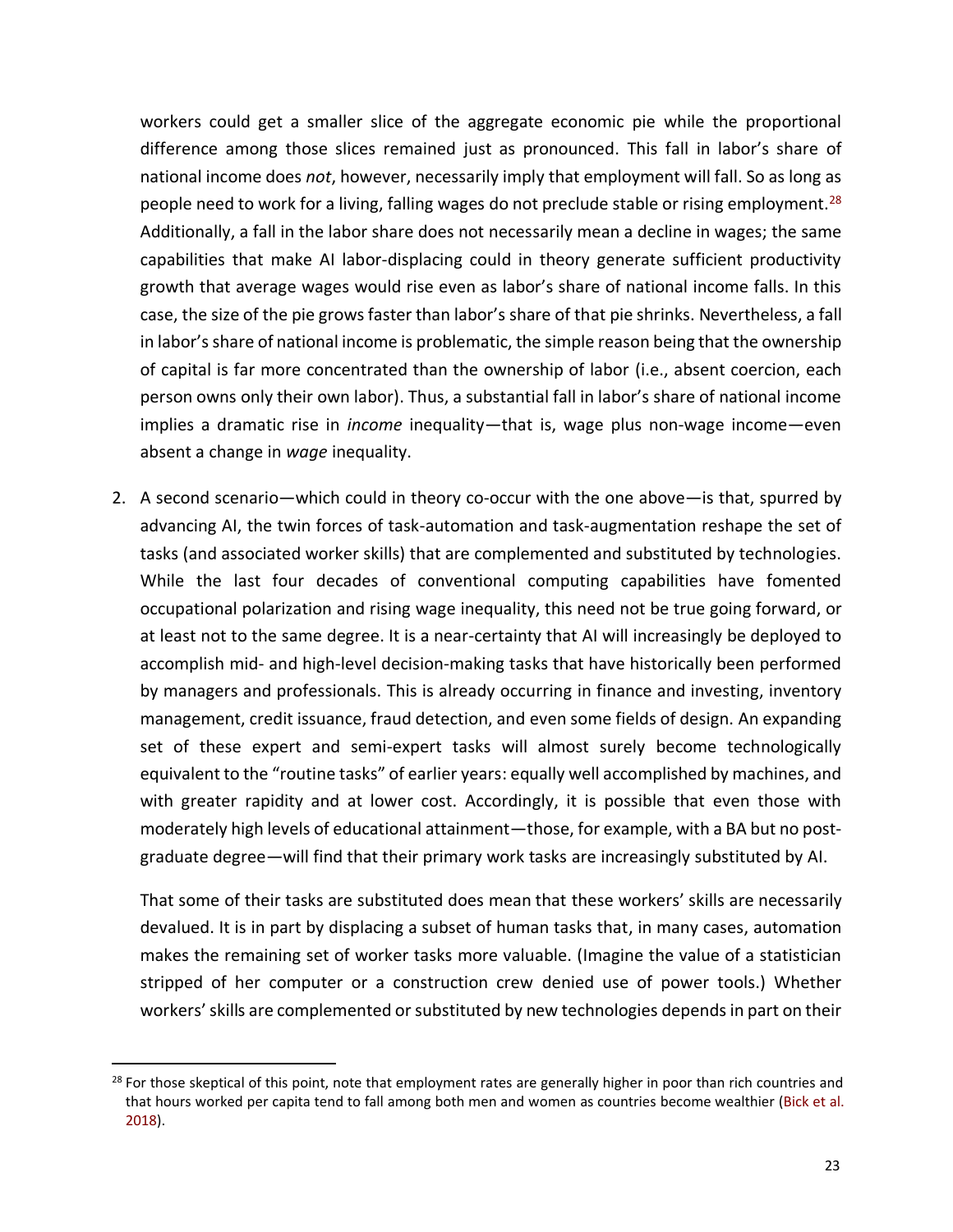workers could get a smaller slice of the aggregate economic pie while the proportional difference among those slices remained just as pronounced. This fall in labor's share of national income does *not*, however, necessarily imply that employment will fall. So as long as people need to work for a living, falling wages do not preclude stable or rising employment.<sup>28</sup> Additionally, a fall in the labor share does not necessarily mean a decline in wages; the same capabilities that make AI labor-displacing could in theory generate sufficient productivity growth that average wages would rise even as labor's share of national income falls. In this case, the size of the pie grows faster than labor's share of that pie shrinks. Nevertheless, a fall in labor's share of national income is problematic, the simple reason being that the ownership of capital is far more concentrated than the ownership of labor (i.e., absent coercion, each person owns only their own labor). Thus, a substantial fall in labor's share of national income implies a dramatic rise in *income* inequality—that is, wage plus non-wage income—even absent a change in *wage* inequality.

2. A second scenario—which could in theory co-occur with the one above—is that, spurred by advancing AI, the twin forces of task-automation and task-augmentation reshape the set of tasks (and associated worker skills) that are complemented and substituted by technologies. While the last four decades of conventional computing capabilities have fomented occupational polarization and rising wage inequality, this need not be true going forward, or at least not to the same degree. It is a near-certainty that AI will increasingly be deployed to accomplish mid- and high-level decision-making tasks that have historically been performed by managers and professionals. This is already occurring in finance and investing, inventory management, credit issuance, fraud detection, and even some fields of design. An expanding set of these expert and semi-expert tasks will almost surely become technologically equivalent to the "routine tasks" of earlier years: equally well accomplished by machines, and with greater rapidity and at lower cost. Accordingly, it is possible that even those with moderately high levels of educational attainment—those, for example, with a BA but no postgraduate degree—will find that their primary work tasks are increasingly substituted by AI.

That some of their tasks are substituted does mean that these workers' skills are necessarily devalued. It is in part by displacing a subset of human tasks that, in many cases, automation makes the remaining set of worker tasks more valuable. (Imagine the value of a statistician stripped of her computer or a construction crew denied use of power tools.) Whether workers' skills are complemented or substituted by new technologies depends in part on their

 $28$  For those skeptical of this point, note that employment rates are generally higher in poor than rich countries and that hours worked per capita tend to fall among both men and women as countries become wealthier (Bick et al. 2018).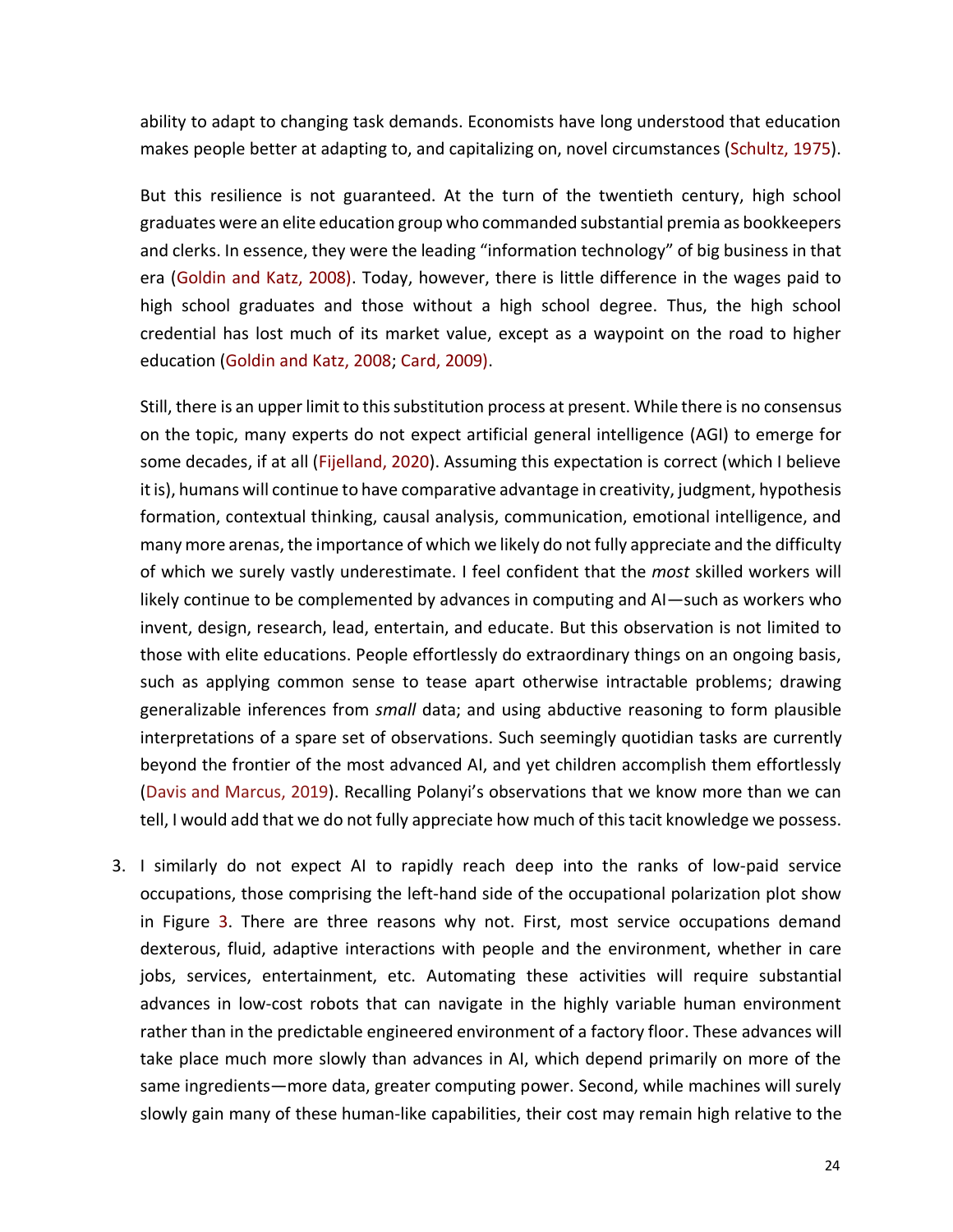ability to adapt to changing task demands. Economists have long understood that education makes people better at adapting to, and capitalizing on, novel circumstances (Schultz, 1975).

But this resilience is not guaranteed. At the turn of the twentieth century, high school graduates were an elite education group who commanded substantial premia as bookkeepers and clerks. In essence, they were the leading "information technology" of big business in that era (Goldin and Katz, 2008). Today, however, there is little difference in the wages paid to high school graduates and those without a high school degree. Thus, the high school credential has lost much of its market value, except as a waypoint on the road to higher education (Goldin and Katz, 2008; Card, 2009).

Still, there is an upper limit to this substitution process at present. While there is no consensus on the topic, many experts do not expect artificial general intelligence (AGI) to emerge for some decades, if at all (Fijelland, 2020). Assuming this expectation is correct (which I believe it is), humans will continue to have comparative advantage in creativity, judgment, hypothesis formation, contextual thinking, causal analysis, communication, emotional intelligence, and many more arenas, the importance of which we likely do not fully appreciate and the difficulty of which we surely vastly underestimate. I feel confident that the *most* skilled workers will likely continue to be complemented by advances in computing and AI—such as workers who invent, design, research, lead, entertain, and educate. But this observation is not limited to those with elite educations. People effortlessly do extraordinary things on an ongoing basis, such as applying common sense to tease apart otherwise intractable problems; drawing generalizable inferences from *small* data; and using abductive reasoning to form plausible interpretations of a spare set of observations. Such seemingly quotidian tasks are currently beyond the frontier of the most advanced AI, and yet children accomplish them effortlessly (Davis and Marcus, 2019). Recalling Polanyi's observations that we know more than we can tell, I would add that we do not fully appreciate how much of this tacit knowledge we possess.

3. I similarly do not expect AI to rapidly reach deep into the ranks of low-paid service occupations, those comprising the left-hand side of the occupational polarization plot show in Figure 3. There are three reasons why not. First, most service occupations demand dexterous, fluid, adaptive interactions with people and the environment, whether in care jobs, services, entertainment, etc. Automating these activities will require substantial advances in low-cost robots that can navigate in the highly variable human environment rather than in the predictable engineered environment of a factory floor. These advances will take place much more slowly than advances in AI, which depend primarily on more of the same ingredients—more data, greater computing power. Second, while machines will surely slowly gain many of these human-like capabilities, their cost may remain high relative to the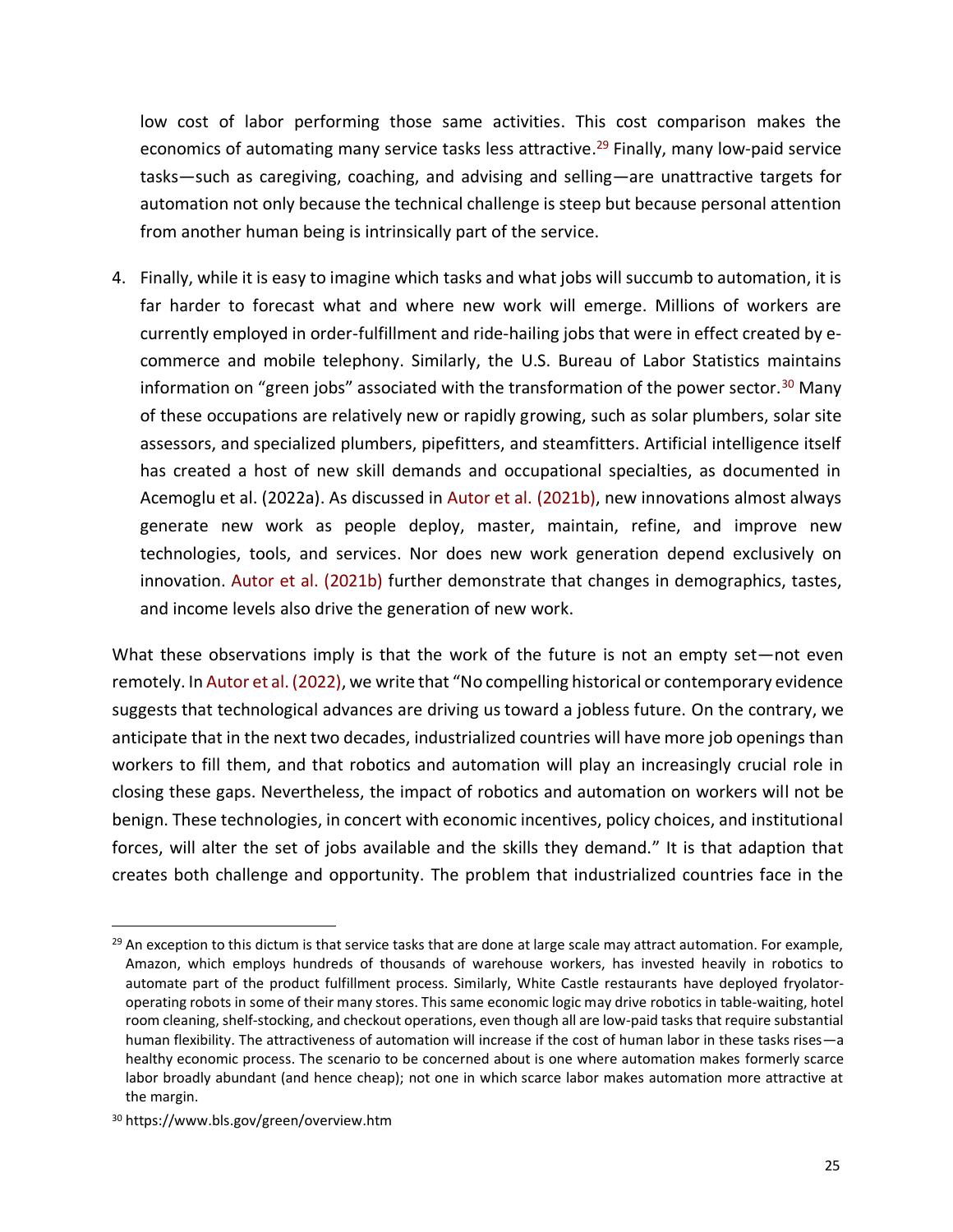low cost of labor performing those same activities. This cost comparison makes the economics of automating many service tasks less attractive.<sup>29</sup> Finally, many low-paid service tasks—such as caregiving, coaching, and advising and selling—are unattractive targets for automation not only because the technical challenge is steep but because personal attention from another human being is intrinsically part of the service.

4. Finally, while it is easy to imagine which tasks and what jobs will succumb to automation, it is far harder to forecast what and where new work will emerge. Millions of workers are currently employed in order-fulfillment and ride-hailing jobs that were in effect created by ecommerce and mobile telephony. Similarly, the U.S. Bureau of Labor Statistics maintains information on "green jobs" associated with the transformation of the power sector.<sup>30</sup> Many of these occupations are relatively new or rapidly growing, such as solar plumbers, solar site assessors, and specialized plumbers, pipefitters, and steamfitters. Artificial intelligence itself has created a host of new skill demands and occupational specialties, as documented in Acemoglu et al. (2022a). As discussed in Autor et al. (2021b), new innovations almost always generate new work as people deploy, master, maintain, refine, and improve new technologies, tools, and services. Nor does new work generation depend exclusively on innovation. Autor et al. (2021b) further demonstrate that changes in demographics, tastes, and income levels also drive the generation of new work.

What these observations imply is that the work of the future is not an empty set—not even remotely. In Autor et al. (2022), we write that "No compelling historical or contemporary evidence suggests that technological advances are driving us toward a jobless future. On the contrary, we anticipate that in the next two decades, industrialized countries will have more job openings than workers to fill them, and that robotics and automation will play an increasingly crucial role in closing these gaps. Nevertheless, the impact of robotics and automation on workers will not be benign. These technologies, in concert with economic incentives, policy choices, and institutional forces, will alter the set of jobs available and the skills they demand." It is that adaption that creates both challenge and opportunity. The problem that industrialized countries face in the

 $29$  An exception to this dictum is that service tasks that are done at large scale may attract automation. For example, Amazon, which employs hundreds of thousands of warehouse workers, has invested heavily in robotics to automate part of the product fulfillment process. Similarly, White Castle restaurants have deployed fryolatoroperating robots in some of their many stores. This same economic logic may drive robotics in table-waiting, hotel room cleaning, shelf-stocking, and checkout operations, even though all are low-paid tasks that require substantial human flexibility. The attractiveness of automation will increase if the cost of human labor in these tasks rises—a healthy economic process. The scenario to be concerned about is one where automation makes formerly scarce labor broadly abundant (and hence cheap); not one in which scarce labor makes automation more attractive at the margin.

<sup>30</sup> https://www.bls.gov/green/overview.htm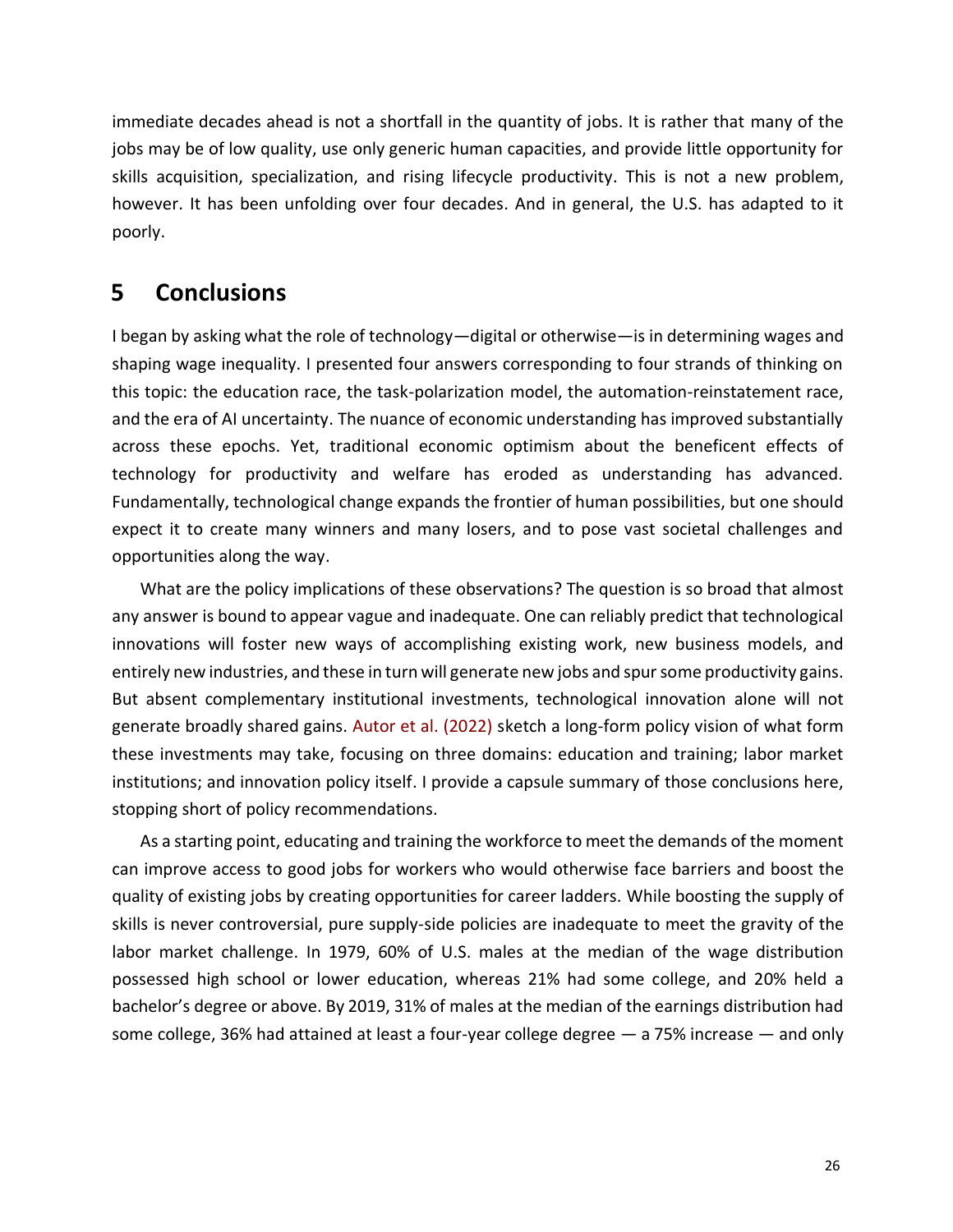immediate decades ahead is not a shortfall in the quantity of jobs. It is rather that many of the jobs may be of low quality, use only generic human capacities, and provide little opportunity for skills acquisition, specialization, and rising lifecycle productivity. This is not a new problem, however. It has been unfolding over four decades. And in general, the U.S. has adapted to it poorly.

# **5 Conclusions**

I began by asking what the role of technology—digital or otherwise—is in determining wages and shaping wage inequality. I presented four answers corresponding to four strands of thinking on this topic: the education race, the task-polarization model, the automation-reinstatement race, and the era of AI uncertainty. The nuance of economic understanding has improved substantially across these epochs. Yet, traditional economic optimism about the beneficent effects of technology for productivity and welfare has eroded as understanding has advanced. Fundamentally, technological change expands the frontier of human possibilities, but one should expect it to create many winners and many losers, and to pose vast societal challenges and opportunities along the way.

What are the policy implications of these observations? The question is so broad that almost any answer is bound to appear vague and inadequate. One can reliably predict that technological innovations will foster new ways of accomplishing existing work, new business models, and entirely new industries, and these in turn will generate new jobs and spur some productivity gains. But absent complementary institutional investments, technological innovation alone will not generate broadly shared gains. Autor et al. (2022) sketch a long-form policy vision of what form these investments may take, focusing on three domains: education and training; labor market institutions; and innovation policy itself. I provide a capsule summary of those conclusions here, stopping short of policy recommendations.

As a starting point, educating and training the workforce to meet the demands of the moment can improve access to good jobs for workers who would otherwise face barriers and boost the quality of existing jobs by creating opportunities for career ladders. While boosting the supply of skills is never controversial, pure supply-side policies are inadequate to meet the gravity of the labor market challenge. In 1979, 60% of U.S. males at the median of the wage distribution possessed high school or lower education, whereas 21% had some college, and 20% held a bachelor's degree or above. By 2019, 31% of males at the median of the earnings distribution had some college, 36% had attained at least a four-year college degree — a 75% increase — and only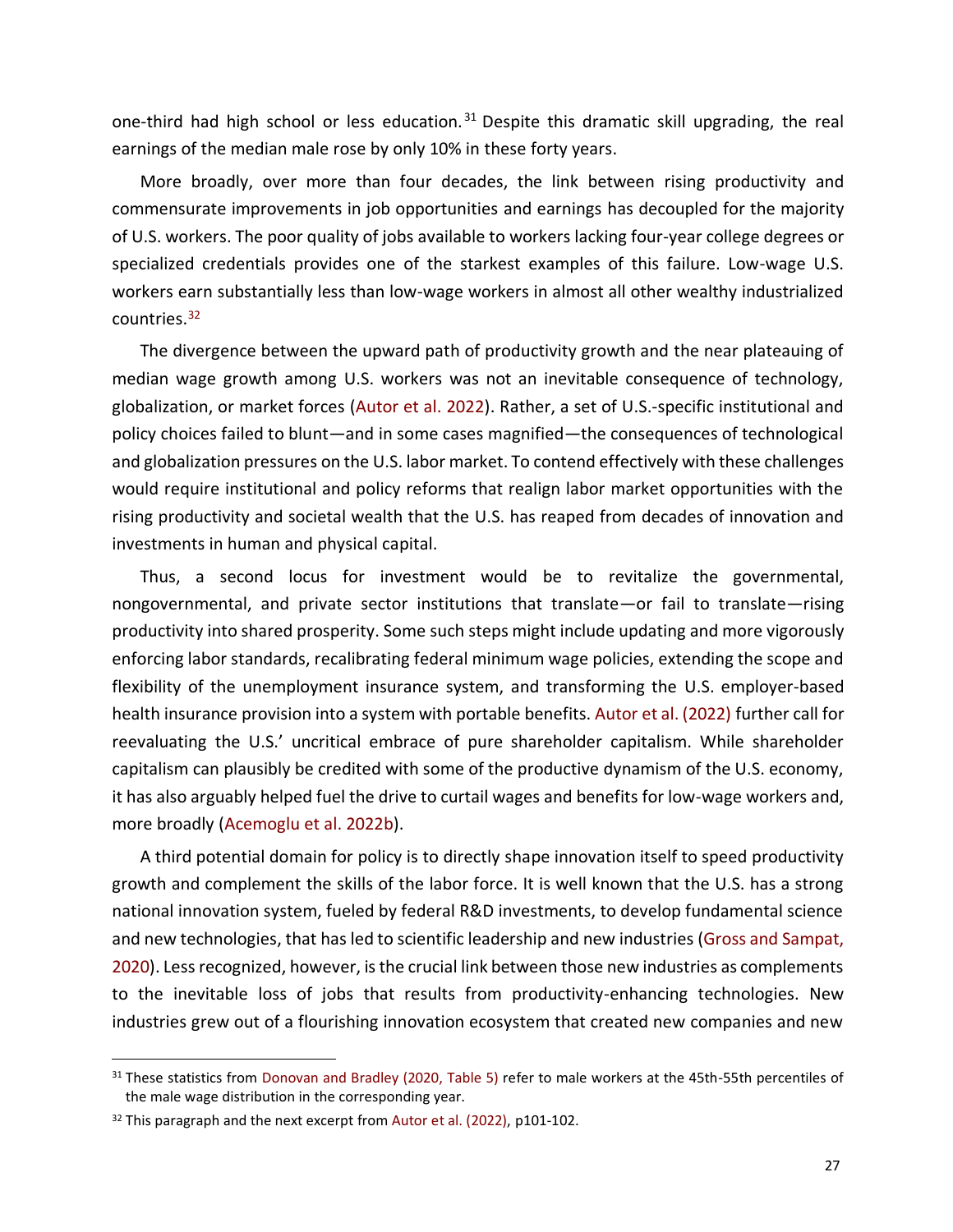one-third had high school or less education.<sup>31</sup> Despite this dramatic skill upgrading, the real earnings of the median male rose by only 10% in these forty years.

More broadly, over more than four decades, the link between rising productivity and commensurate improvements in job opportunities and earnings has decoupled for the majority of U.S. workers. The poor quality of jobs available to workers lacking four-year college degrees or specialized credentials provides one of the starkest examples of this failure. Low-wage U.S. workers earn substantially less than low-wage workers in almost all other wealthy industrialized countries.<sup>32</sup>

The divergence between the upward path of productivity growth and the near plateauing of median wage growth among U.S. workers was not an inevitable consequence of technology, globalization, or market forces (Autor et al. 2022). Rather, a set of U.S.-specific institutional and policy choices failed to blunt—and in some cases magnified—the consequences of technological and globalization pressures on the U.S. labor market. To contend effectively with these challenges would require institutional and policy reforms that realign labor market opportunities with the rising productivity and societal wealth that the U.S. has reaped from decades of innovation and investments in human and physical capital.

Thus, a second locus for investment would be to revitalize the governmental, nongovernmental, and private sector institutions that translate—or fail to translate—rising productivity into shared prosperity. Some such steps might include updating and more vigorously enforcing labor standards, recalibrating federal minimum wage policies, extending the scope and flexibility of the unemployment insurance system, and transforming the U.S. employer-based health insurance provision into a system with portable benefits. Autor et al. (2022) further call for reevaluating the U.S.' uncritical embrace of pure shareholder capitalism. While shareholder capitalism can plausibly be credited with some of the productive dynamism of the U.S. economy, it has also arguably helped fuel the drive to curtail wages and benefits for low-wage workers and, more broadly (Acemoglu et al. 2022b).

A third potential domain for policy is to directly shape innovation itself to speed productivity growth and complement the skills of the labor force. It is well known that the U.S. has a strong national innovation system, fueled by federal R&D investments, to develop fundamental science and new technologies, that has led to scientific leadership and new industries (Gross and Sampat, 2020). Less recognized, however, is the crucial link between those new industries as complements to the inevitable loss of jobs that results from productivity-enhancing technologies. New industries grew out of a flourishing innovation ecosystem that created new companies and new

<sup>31</sup> These statistics from Donovan and Bradley (2020, Table 5) refer to male workers at the 45th-55th percentiles of the male wage distribution in the corresponding year.

<sup>&</sup>lt;sup>32</sup> This paragraph and the next excerpt from Autor et al. (2022), p101-102.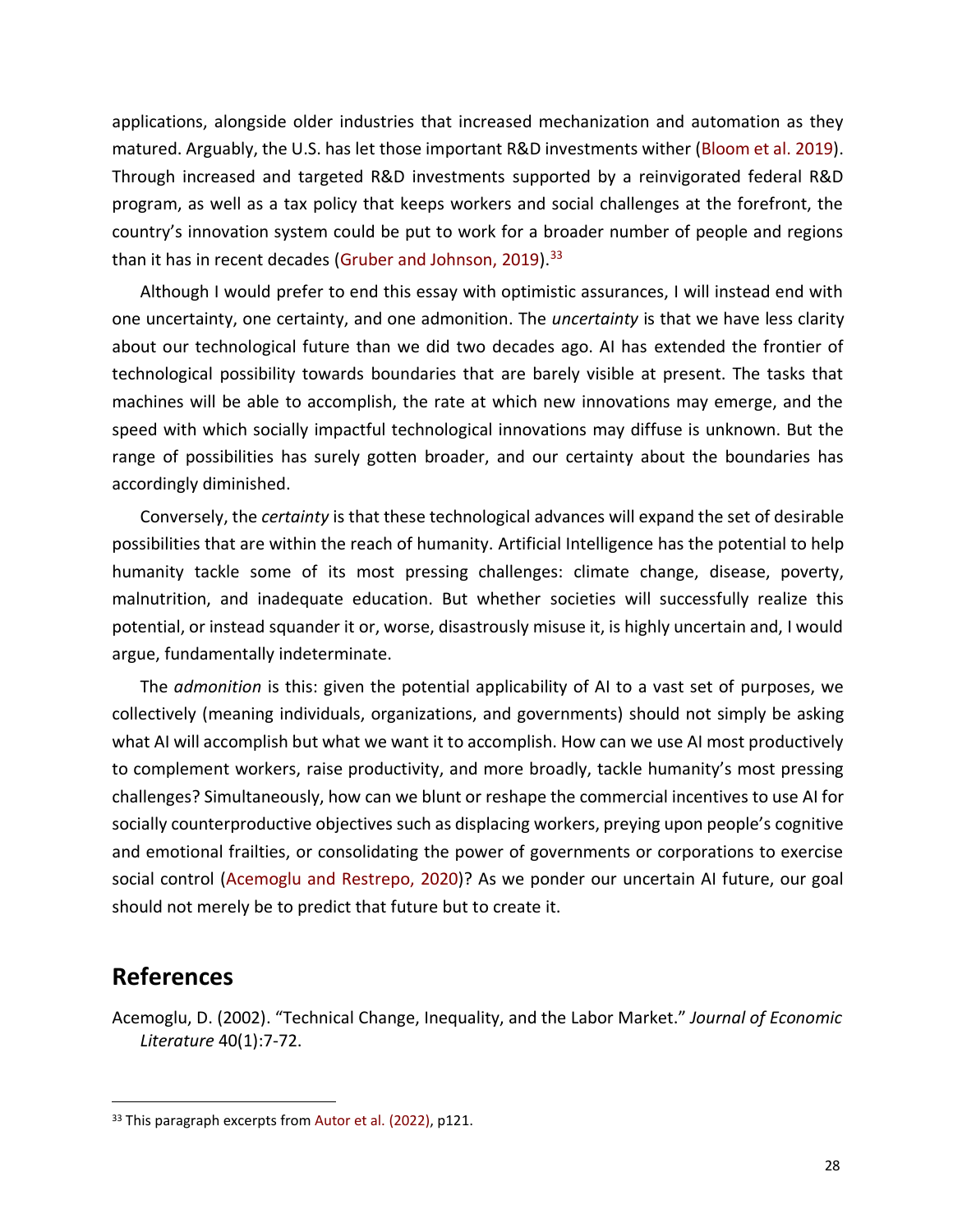applications, alongside older industries that increased mechanization and automation as they matured. Arguably, the U.S. has let those important R&D investments wither (Bloom et al. 2019). Through increased and targeted R&D investments supported by a reinvigorated federal R&D program, as well as a tax policy that keeps workers and social challenges at the forefront, the country's innovation system could be put to work for a broader number of people and regions than it has in recent decades (Gruber and Johnson, 2019).<sup>33</sup>

Although I would prefer to end this essay with optimistic assurances, I will instead end with one uncertainty, one certainty, and one admonition. The *uncertainty* is that we have less clarity about our technological future than we did two decades ago. AI has extended the frontier of technological possibility towards boundaries that are barely visible at present. The tasks that machines will be able to accomplish, the rate at which new innovations may emerge, and the speed with which socially impactful technological innovations may diffuse is unknown. But the range of possibilities has surely gotten broader, and our certainty about the boundaries has accordingly diminished.

Conversely, the *certainty* is that these technological advances will expand the set of desirable possibilities that are within the reach of humanity. Artificial Intelligence has the potential to help humanity tackle some of its most pressing challenges: climate change, disease, poverty, malnutrition, and inadequate education. But whether societies will successfully realize this potential, or instead squander it or, worse, disastrously misuse it, is highly uncertain and, I would argue, fundamentally indeterminate.

The *admonition* is this: given the potential applicability of AI to a vast set of purposes, we collectively (meaning individuals, organizations, and governments) should not simply be asking what AI will accomplish but what we want it to accomplish. How can we use AI most productively to complement workers, raise productivity, and more broadly, tackle humanity's most pressing challenges? Simultaneously, how can we blunt or reshape the commercial incentives to use AI for socially counterproductive objectives such as displacing workers, preying upon people's cognitive and emotional frailties, or consolidating the power of governments or corporations to exercise social control (Acemoglu and Restrepo, 2020)? As we ponder our uncertain AI future, our goal should not merely be to predict that future but to create it.

# **References**

Acemoglu, D. (2002). "Technical Change, Inequality, and the Labor Market." *Journal of Economic Literature* 40(1):7-72.

<sup>&</sup>lt;sup>33</sup> This paragraph excerpts from Autor et al. (2022), p121.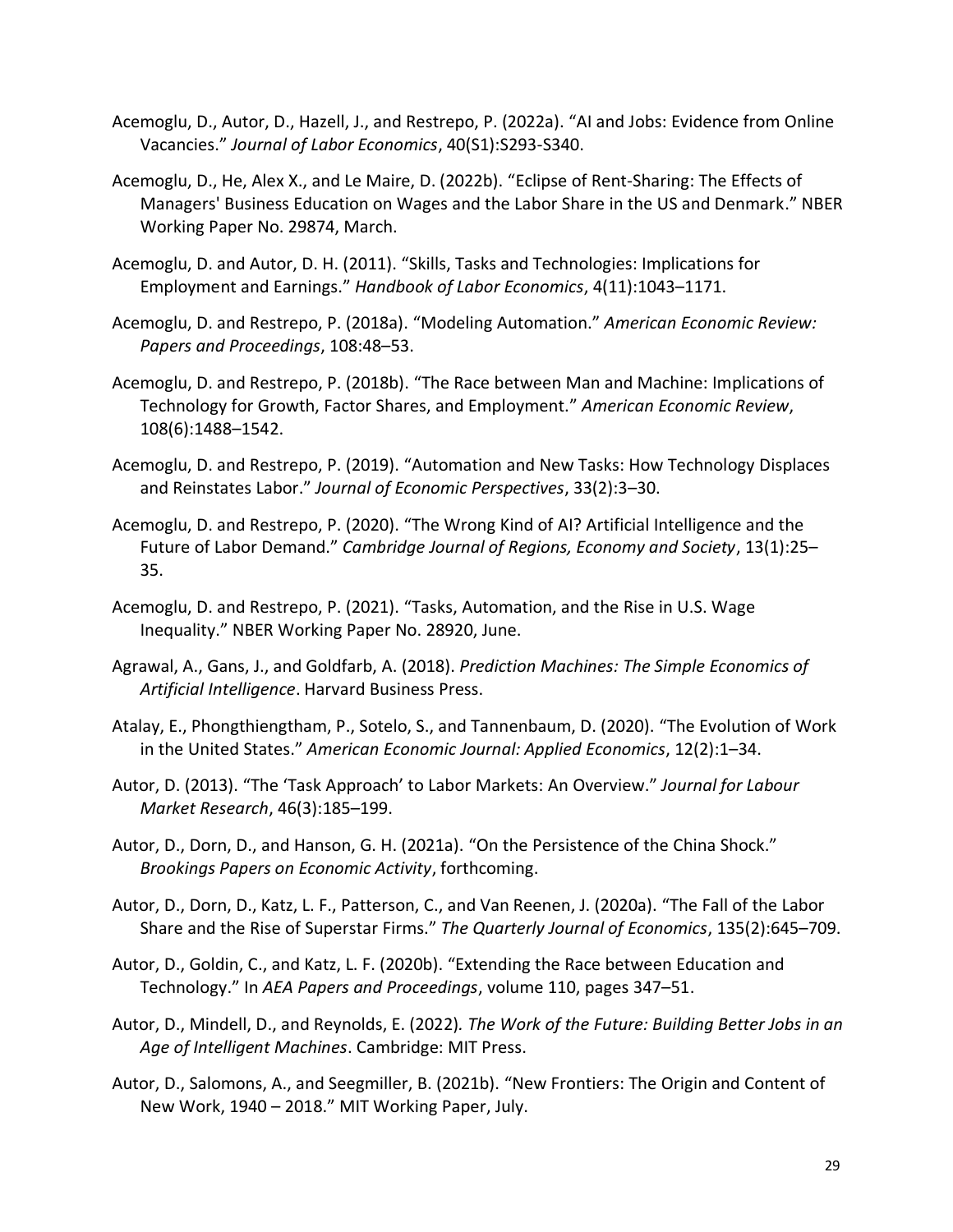- Acemoglu, D., Autor, D., Hazell, J., and Restrepo, P. (2022a). "AI and Jobs: Evidence from Online Vacancies." *Journal of Labor Economics*, 40(S1):S293-S340.
- Acemoglu, D., He, Alex X., and Le Maire, D. (2022b). "Eclipse of Rent-Sharing: The Effects of Managers' Business Education on Wages and the Labor Share in the US and Denmark." NBER Working Paper No. 29874, March.
- Acemoglu, D. and Autor, D. H. (2011). "Skills, Tasks and Technologies: Implications for Employment and Earnings." *Handbook of Labor Economics*, 4(11):1043–1171.
- Acemoglu, D. and Restrepo, P. (2018a). "Modeling Automation." *American Economic Review: Papers and Proceedings*, 108:48–53.
- Acemoglu, D. and Restrepo, P. (2018b). "The Race between Man and Machine: Implications of Technology for Growth, Factor Shares, and Employment." *American Economic Review*, 108(6):1488–1542.
- Acemoglu, D. and Restrepo, P. (2019). "Automation and New Tasks: How Technology Displaces and Reinstates Labor." *Journal of Economic Perspectives*, 33(2):3–30.
- Acemoglu, D. and Restrepo, P. (2020). "The Wrong Kind of AI? Artificial Intelligence and the Future of Labor Demand." *Cambridge Journal of Regions, Economy and Society*, 13(1):25– 35.
- Acemoglu, D. and Restrepo, P. (2021). "Tasks, Automation, and the Rise in U.S. Wage Inequality." NBER Working Paper No. 28920, June.
- Agrawal, A., Gans, J., and Goldfarb, A. (2018). *Prediction Machines: The Simple Economics of Artificial Intelligence*. Harvard Business Press.
- Atalay, E., Phongthiengtham, P., Sotelo, S., and Tannenbaum, D. (2020). "The Evolution of Work in the United States." *American Economic Journal: Applied Economics*, 12(2):1–34.
- Autor, D. (2013). "The 'Task Approach' to Labor Markets: An Overview." *Journal for Labour Market Research*, 46(3):185–199.
- Autor, D., Dorn, D., and Hanson, G. H. (2021a). "On the Persistence of the China Shock." *Brookings Papers on Economic Activity*, forthcoming.
- Autor, D., Dorn, D., Katz, L. F., Patterson, C., and Van Reenen, J. (2020a). "The Fall of the Labor Share and the Rise of Superstar Firms." *The Quarterly Journal of Economics*, 135(2):645–709.
- Autor, D., Goldin, C., and Katz, L. F. (2020b). "Extending the Race between Education and Technology." In *AEA Papers and Proceedings*, volume 110, pages 347–51.
- Autor, D., Mindell, D., and Reynolds, E. (2022)*. The Work of the Future: Building Better Jobs in an Age of Intelligent Machines*. Cambridge: MIT Press.
- Autor, D., Salomons, A., and Seegmiller, B. (2021b). "New Frontiers: The Origin and Content of New Work, 1940 – 2018." MIT Working Paper, July.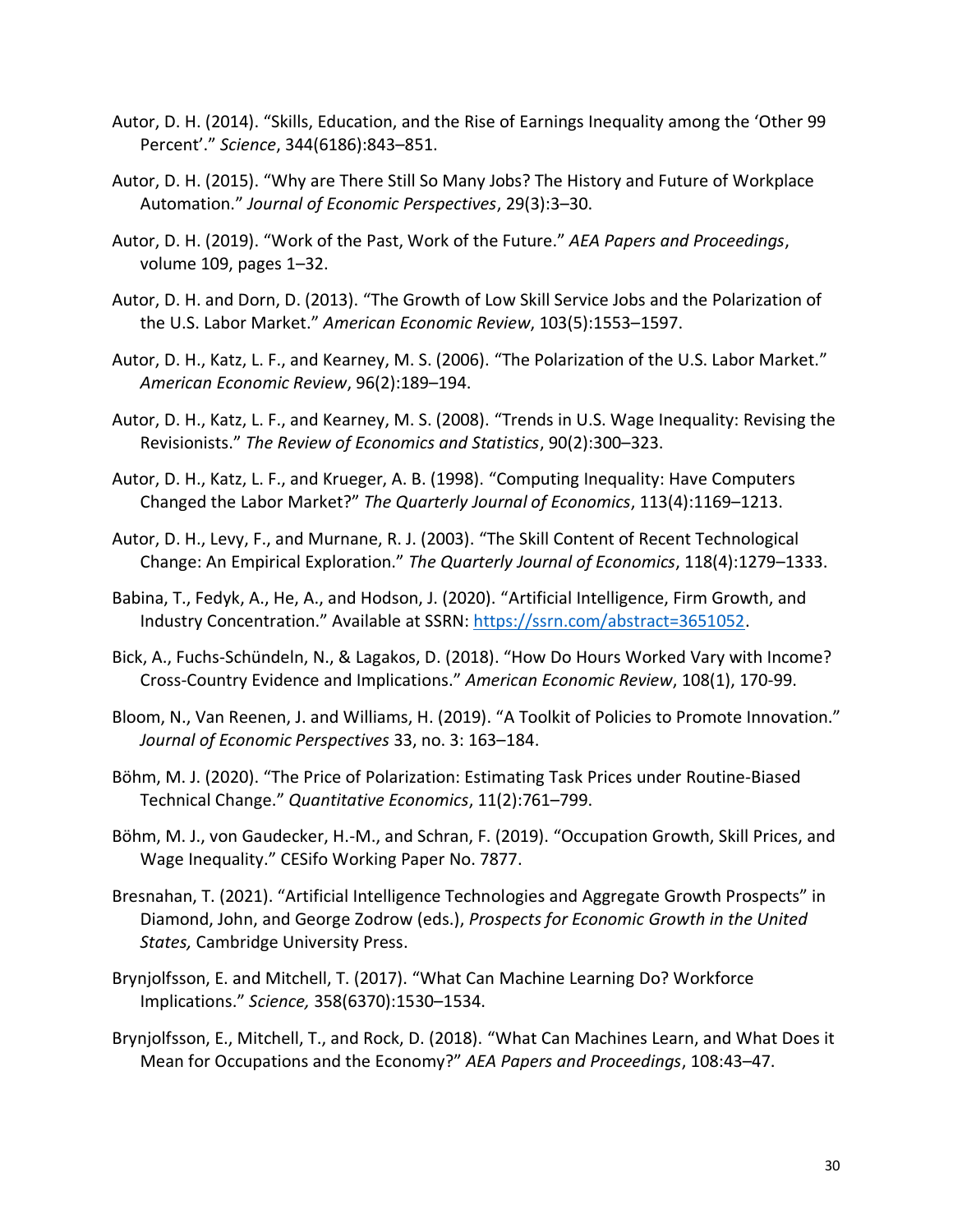- Autor, D. H. (2014). "Skills, Education, and the Rise of Earnings Inequality among the 'Other 99 Percent'." *Science*, 344(6186):843–851.
- Autor, D. H. (2015). "Why are There Still So Many Jobs? The History and Future of Workplace Automation." *Journal of Economic Perspectives*, 29(3):3–30.
- Autor, D. H. (2019). "Work of the Past, Work of the Future." *AEA Papers and Proceedings*, volume 109, pages 1–32.
- Autor, D. H. and Dorn, D. (2013). "The Growth of Low Skill Service Jobs and the Polarization of the U.S. Labor Market." *American Economic Review*, 103(5):1553–1597.
- Autor, D. H., Katz, L. F., and Kearney, M. S. (2006). "The Polarization of the U.S. Labor Market." *American Economic Review*, 96(2):189–194.
- Autor, D. H., Katz, L. F., and Kearney, M. S. (2008). "Trends in U.S. Wage Inequality: Revising the Revisionists." *The Review of Economics and Statistics*, 90(2):300–323.
- Autor, D. H., Katz, L. F., and Krueger, A. B. (1998). "Computing Inequality: Have Computers Changed the Labor Market?" *The Quarterly Journal of Economics*, 113(4):1169–1213.
- Autor, D. H., Levy, F., and Murnane, R. J. (2003). "The Skill Content of Recent Technological Change: An Empirical Exploration." *The Quarterly Journal of Economics*, 118(4):1279–1333.
- Babina, T., Fedyk, A., He, A., and Hodson, J. (2020). "Artificial Intelligence, Firm Growth, and Industry Concentration." Available at SSRN: [https://ssrn.com/abstract=3651052.](https://ssrn.com/abstract=3651052)
- Bick, A., Fuchs-Schündeln, N., & Lagakos, D. (2018). "How Do Hours Worked Vary with Income? Cross-Country Evidence and Implications." *American Economic Review*, 108(1), 170-99.
- Bloom, N., Van Reenen, J. and Williams, H. (2019). "A Toolkit of Policies to Promote Innovation." *Journal of Economic Perspectives* 33, no. 3: 163–184.
- Böhm, M. J. (2020). "The Price of Polarization: Estimating Task Prices under Routine-Biased Technical Change." *Quantitative Economics*, 11(2):761–799.
- Böhm, M. J., von Gaudecker, H.-M., and Schran, F. (2019). "Occupation Growth, Skill Prices, and Wage Inequality." CESifo Working Paper No. 7877.
- Bresnahan, T. (2021). "Artificial Intelligence Technologies and Aggregate Growth Prospects" in Diamond, John, and George Zodrow (eds.), *Prospects for Economic Growth in the United States,* Cambridge University Press.
- Brynjolfsson, E. and Mitchell, T. (2017). "What Can Machine Learning Do? Workforce Implications." *Science,* 358(6370):1530–1534.
- Brynjolfsson, E., Mitchell, T., and Rock, D. (2018). "What Can Machines Learn, and What Does it Mean for Occupations and the Economy?" *AEA Papers and Proceedings*, 108:43–47.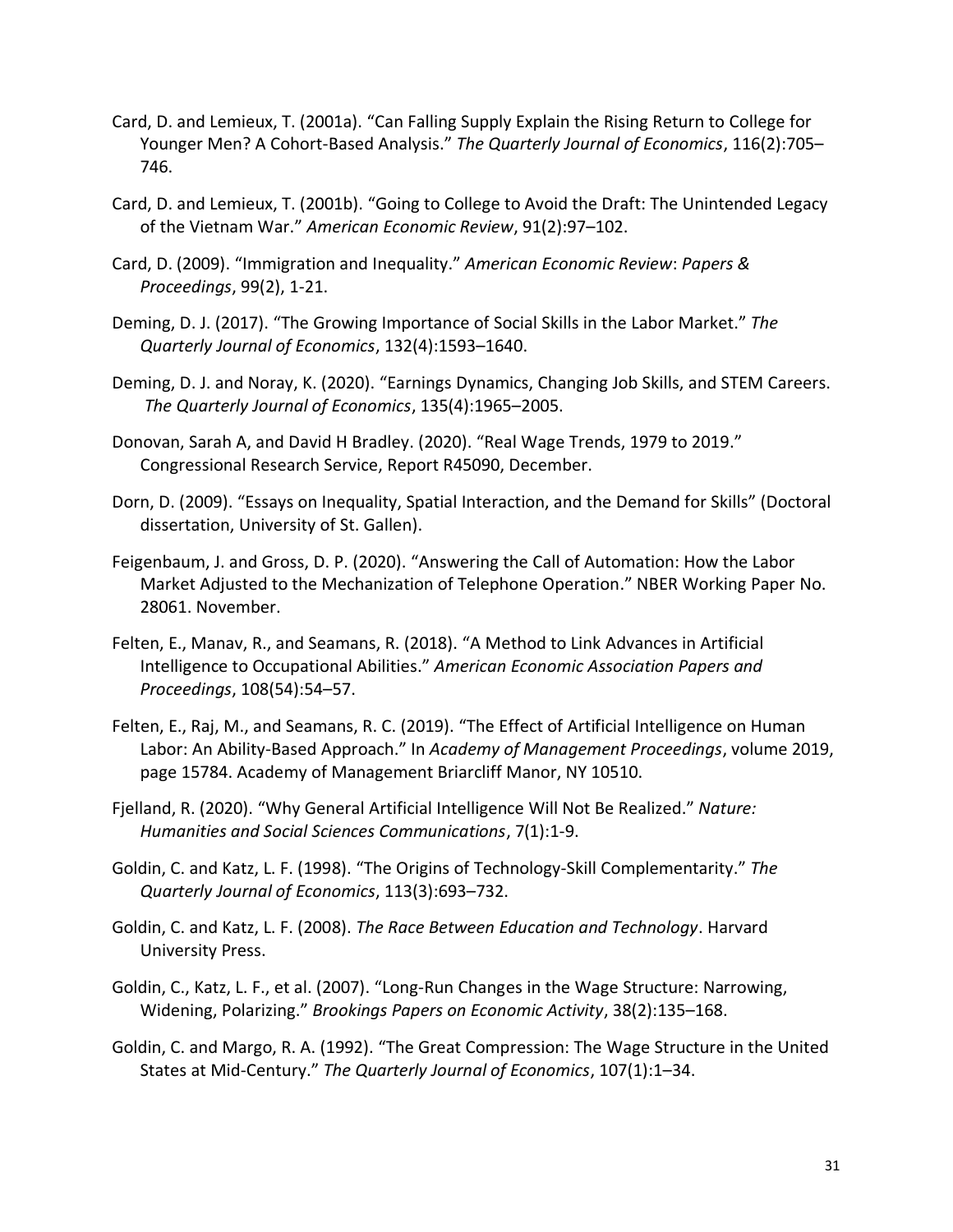- Card, D. and Lemieux, T. (2001a). "Can Falling Supply Explain the Rising Return to College for Younger Men? A Cohort-Based Analysis." *The Quarterly Journal of Economics*, 116(2):705– 746.
- Card, D. and Lemieux, T. (2001b). "Going to College to Avoid the Draft: The Unintended Legacy of the Vietnam War." *American Economic Review*, 91(2):97–102.
- Card, D. (2009). "Immigration and Inequality." *American Economic Review*: *Papers & Proceedings*, 99(2), 1-21.
- Deming, D. J. (2017). "The Growing Importance of Social Skills in the Labor Market." *The Quarterly Journal of Economics*, 132(4):1593–1640.
- Deming, D. J. and Noray, K. (2020). "Earnings Dynamics, Changing Job Skills, and STEM Careers. *The Quarterly Journal of Economics*, 135(4):1965–2005.
- Donovan, Sarah A, and David H Bradley. (2020). "Real Wage Trends, 1979 to 2019." Congressional Research Service, Report R45090, December.
- Dorn, D. (2009). "Essays on Inequality, Spatial Interaction, and the Demand for Skills" (Doctoral dissertation, University of St. Gallen).
- Feigenbaum, J. and Gross, D. P. (2020). "Answering the Call of Automation: How the Labor Market Adjusted to the Mechanization of Telephone Operation." NBER Working Paper No. 28061. November.
- Felten, E., Manav, R., and Seamans, R. (2018). "A Method to Link Advances in Artificial Intelligence to Occupational Abilities." *American Economic Association Papers and Proceedings*, 108(54):54–57.
- Felten, E., Raj, M., and Seamans, R. C. (2019). "The Effect of Artificial Intelligence on Human Labor: An Ability-Based Approach." In *Academy of Management Proceedings*, volume 2019, page 15784. Academy of Management Briarcliff Manor, NY 10510.
- Fjelland, R. (2020). "Why General Artificial Intelligence Will Not Be Realized." *Nature: Humanities and Social Sciences Communications*, 7(1):1-9.
- Goldin, C. and Katz, L. F. (1998). "The Origins of Technology-Skill Complementarity." *The Quarterly Journal of Economics*, 113(3):693–732.
- Goldin, C. and Katz, L. F. (2008). *The Race Between Education and Technology*. Harvard University Press.
- Goldin, C., Katz, L. F., et al. (2007). "Long-Run Changes in the Wage Structure: Narrowing, Widening, Polarizing." *Brookings Papers on Economic Activity*, 38(2):135–168.
- Goldin, C. and Margo, R. A. (1992). "The Great Compression: The Wage Structure in the United States at Mid-Century." *The Quarterly Journal of Economics*, 107(1):1–34.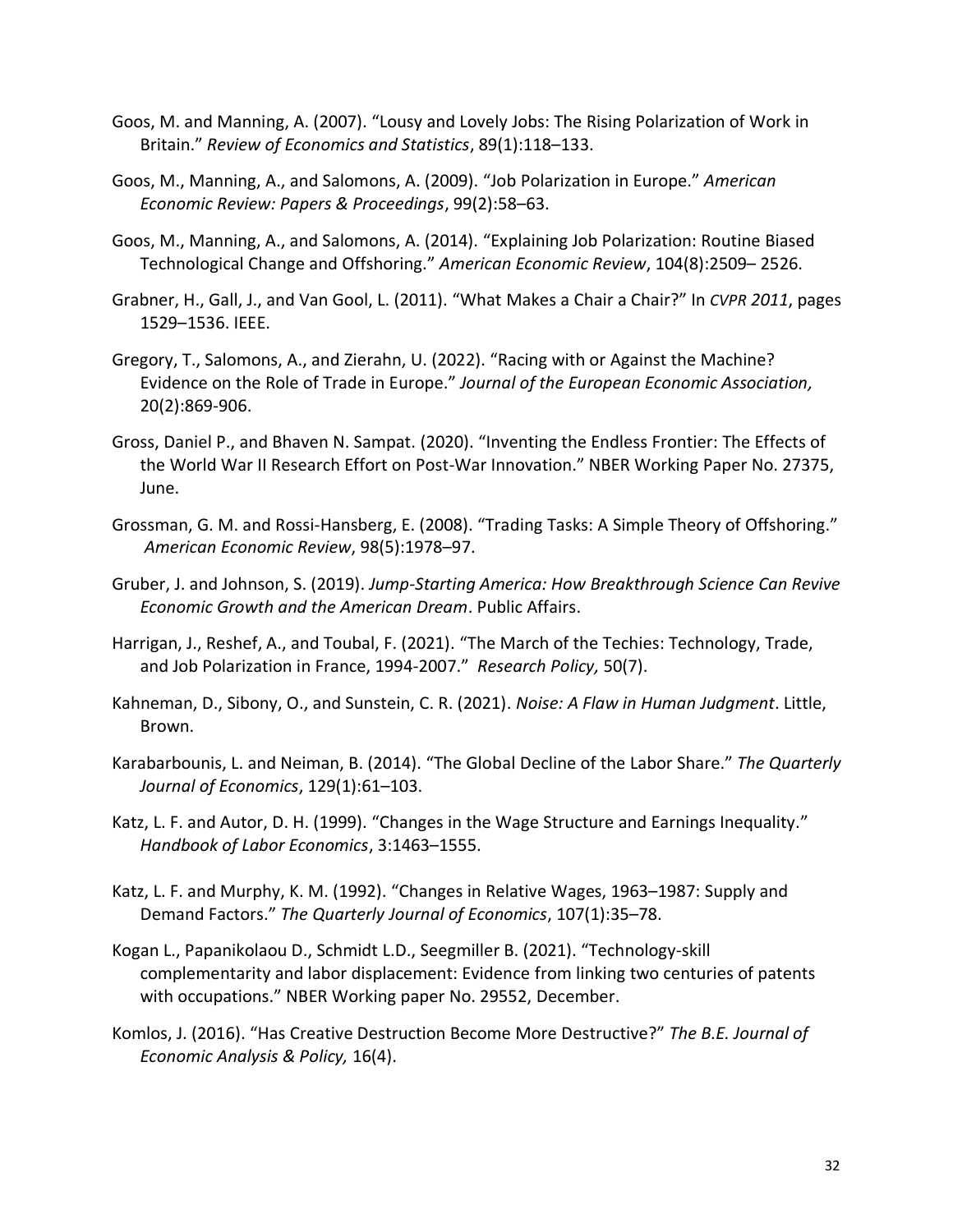- Goos, M. and Manning, A. (2007). "Lousy and Lovely Jobs: The Rising Polarization of Work in Britain." *Review of Economics and Statistics*, 89(1):118–133.
- Goos, M., Manning, A., and Salomons, A. (2009). "Job Polarization in Europe." *American Economic Review: Papers & Proceedings*, 99(2):58–63.
- Goos, M., Manning, A., and Salomons, A. (2014). "Explaining Job Polarization: Routine Biased Technological Change and Offshoring." *American Economic Review*, 104(8):2509– 2526.
- Grabner, H., Gall, J., and Van Gool, L. (2011). "What Makes a Chair a Chair?" In *CVPR 2011*, pages 1529–1536. IEEE.
- Gregory, T., Salomons, A., and Zierahn, U. (2022). "Racing with or Against the Machine? Evidence on the Role of Trade in Europe." *Journal of the European Economic Association,*  20(2):869-906.
- Gross, Daniel P., and Bhaven N. Sampat. (2020). "Inventing the Endless Frontier: The Effects of the World War II Research Effort on Post-War Innovation." NBER Working Paper No. 27375, June.
- Grossman, G. M. and Rossi-Hansberg, E. (2008). "Trading Tasks: A Simple Theory of Offshoring." *American Economic Review*, 98(5):1978–97.
- Gruber, J. and Johnson, S. (2019). *Jump-Starting America: How Breakthrough Science Can Revive Economic Growth and the American Dream*. Public Affairs.
- Harrigan, J., Reshef, A., and Toubal, F. (2021). "The March of the Techies: Technology, Trade, and Job Polarization in France, 1994-2007." *Research Policy,* 50(7).
- Kahneman, D., Sibony, O., and Sunstein, C. R. (2021). *Noise: A Flaw in Human Judgment*. Little, Brown.
- Karabarbounis, L. and Neiman, B. (2014). "The Global Decline of the Labor Share." *The Quarterly Journal of Economics*, 129(1):61–103.
- Katz, L. F. and Autor, D. H. (1999). "Changes in the Wage Structure and Earnings Inequality." *Handbook of Labor Economics*, 3:1463–1555.
- Katz, L. F. and Murphy, K. M. (1992). "Changes in Relative Wages, 1963–1987: Supply and Demand Factors." *The Quarterly Journal of Economics*, 107(1):35–78.
- Kogan L., Papanikolaou D., Schmidt L.D., Seegmiller B. (2021). "Technology-skill complementarity and labor displacement: Evidence from linking two centuries of patents with occupations." NBER Working paper No. 29552, December.
- Komlos, J. (2016). "Has Creative Destruction Become More Destructive?" *The B.E. Journal of Economic Analysis & Policy,* 16(4).